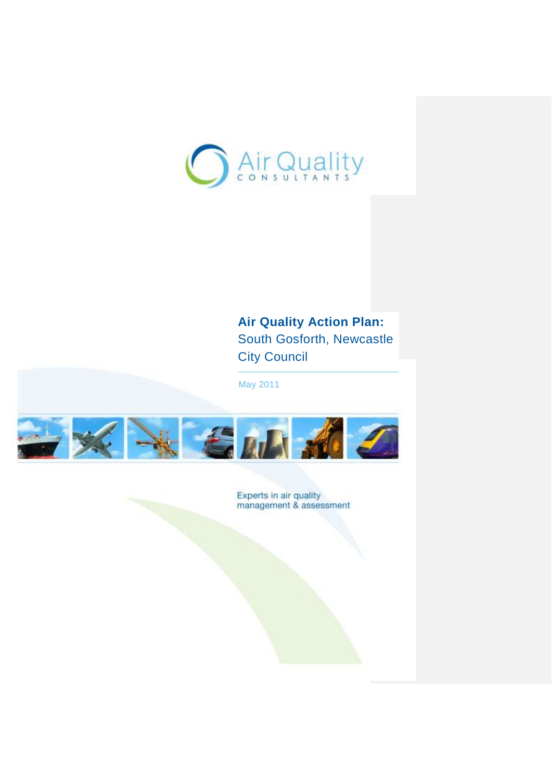

# **Air Quality Action Plan:** South Gosforth, Newcastle City Council

May 2011



Experts in air quality<br>management & assessment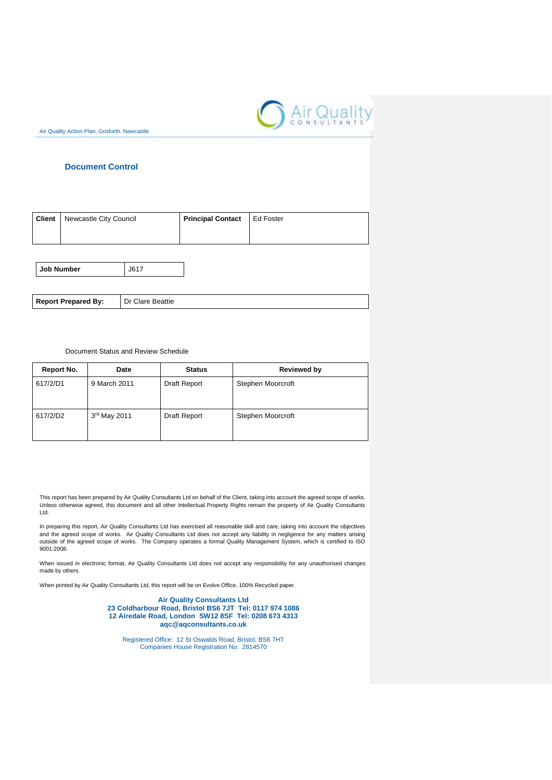

## **Document Control**

| <b>Client</b>   Newcastle City Council | <b>Principal Contact</b> | I Ed Foster |
|----------------------------------------|--------------------------|-------------|
|                                        |                          |             |

**Job Number** J617

**Report Prepared By:** Dr Clare Beattie

#### Document Status and Review Schedule

| Report No. | Date         | <b>Status</b> | <b>Reviewed by</b> |
|------------|--------------|---------------|--------------------|
| 617/2/D1   | 9 March 2011 | Draft Report  | Stephen Moorcroft  |
| 617/2/D2   | 3rd May 2011 | Draft Report  | Stephen Moorcroft  |

This report has been prepared by Air Quality Consultants Ltd on behalf of the Client, taking into account the agreed scope of works. Unless otherwise agreed, this document and all other Intellectual Property Rights remain the property of Air Quality Consultants Ltd.

In preparing this report, Air Quality Consultants Ltd has exercised all reasonable skill and care, taking into account the objectives and the agreed scope of works. Air Quality Consultants Ltd does not accept any liability in negligence for any matters arising outside of the agreed scope of works. The Company operates a formal Quality Management System, which is certified to ISO 9001:2008.

When issued in electronic format, Air Quality Consultants Ltd does not accept any responsibility for any unauthorised changes made by others.

When printed by Air Quality Consultants Ltd, this report will be on Evolve Office, 100% Recycled paper.

**Air Quality Consultants Ltd 23 Coldharbour Road, Bristol BS6 7JT Tel: 0117 974 1086 12 Airedale Road, London SW12 8SF Tel: 0208 673 4313 [aqc@aqconsultants.co.uk](mailto:aqc@aqconsultants.co.uk)**

Registered Office: 12 St Oswalds Road, Bristol, BS6 7HT Companies House Registration No: 2814570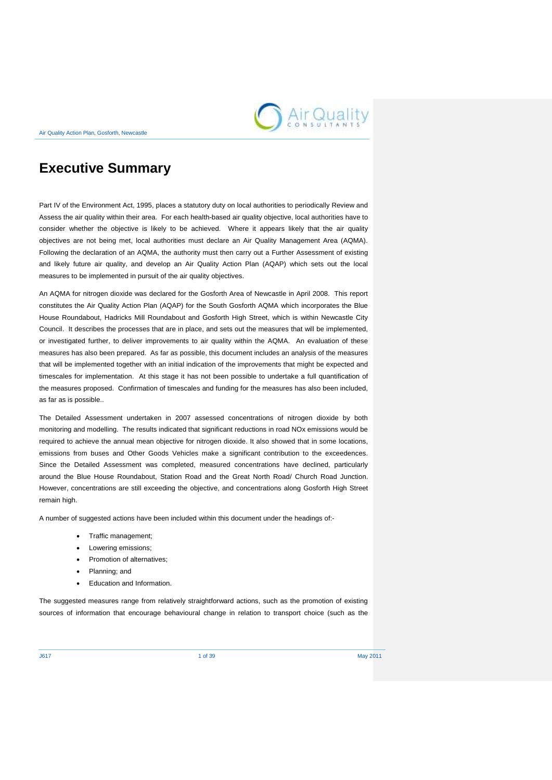

# **Executive Summary**

Part IV of the Environment Act, 1995, places a statutory duty on local authorities to periodically Review and Assess the air quality within their area. For each health-based air quality objective, local authorities have to consider whether the objective is likely to be achieved. Where it appears likely that the air quality objectives are not being met, local authorities must declare an Air Quality Management Area (AQMA). Following the declaration of an AQMA, the authority must then carry out a Further Assessment of existing and likely future air quality, and develop an Air Quality Action Plan (AQAP) which sets out the local measures to be implemented in pursuit of the air quality objectives.

An AQMA for nitrogen dioxide was declared for the Gosforth Area of Newcastle in April 2008. This report constitutes the Air Quality Action Plan (AQAP) for the South Gosforth AQMA which incorporates the Blue House Roundabout, Hadricks Mill Roundabout and Gosforth High Street, which is within Newcastle City Council. It describes the processes that are in place, and sets out the measures that will be implemented, or investigated further, to deliver improvements to air quality within the AQMA. An evaluation of these measures has also been prepared. As far as possible, this document includes an analysis of the measures that will be implemented together with an initial indication of the improvements that might be expected and timescales for implementation. At this stage it has not been possible to undertake a full quantification of the measures proposed. Confirmation of timescales and funding for the measures has also been included, as far as is possible..

The Detailed Assessment undertaken in 2007 assessed concentrations of nitrogen dioxide by both monitoring and modelling. The results indicated that significant reductions in road NOx emissions would be required to achieve the annual mean objective for nitrogen dioxide. It also showed that in some locations, emissions from buses and Other Goods Vehicles make a significant contribution to the exceedences. Since the Detailed Assessment was completed, measured concentrations have declined, particularly around the Blue House Roundabout, Station Road and the Great North Road/ Church Road Junction. However, concentrations are still exceeding the objective, and concentrations along Gosforth High Street remain high.

A number of suggested actions have been included within this document under the headings of:-

- Traffic management;
- Lowering emissions;
- Promotion of alternatives;
- Planning; and
- Education and Information.

The suggested measures range from relatively straightforward actions, such as the promotion of existing sources of information that encourage behavioural change in relation to transport choice (such as the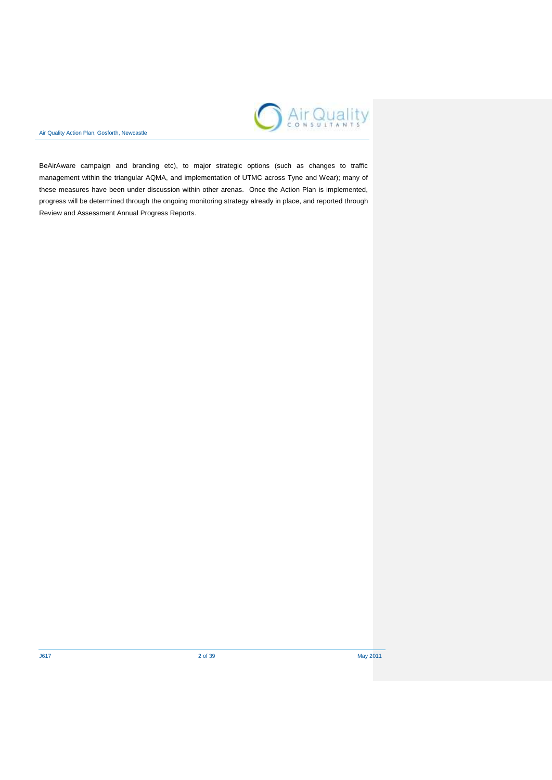

BeAirAware campaign and branding etc), to major strategic options (such as changes to traffic management within the triangular AQMA, and implementation of UTMC across Tyne and Wear); many of these measures have been under discussion within other arenas. Once the Action Plan is implemented, progress will be determined through the ongoing monitoring strategy already in place, and reported through Review and Assessment Annual Progress Reports.

J617 2 of 39 May 2011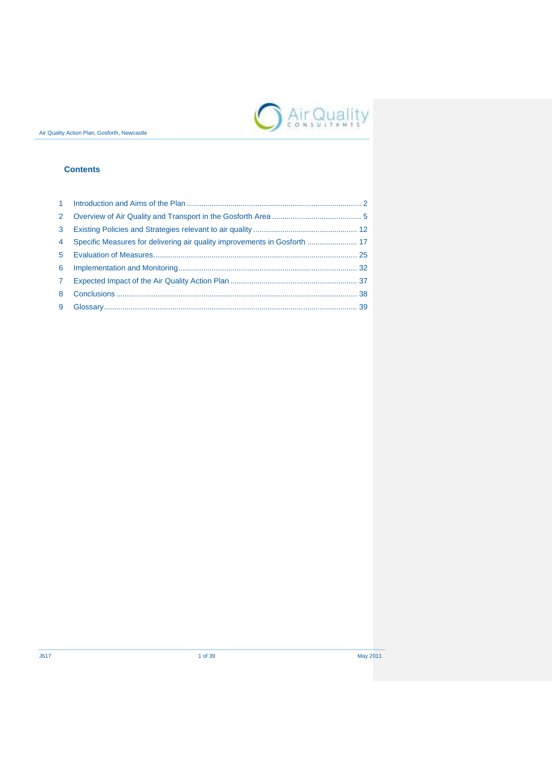

## **Contents**

| $\mathbf{1}$   |  |
|----------------|--|
| 2              |  |
| 3              |  |
| $\overline{4}$ |  |
| $5^{\circ}$    |  |
| 6              |  |
| $\mathbf{7}$   |  |
| 8              |  |
| 9              |  |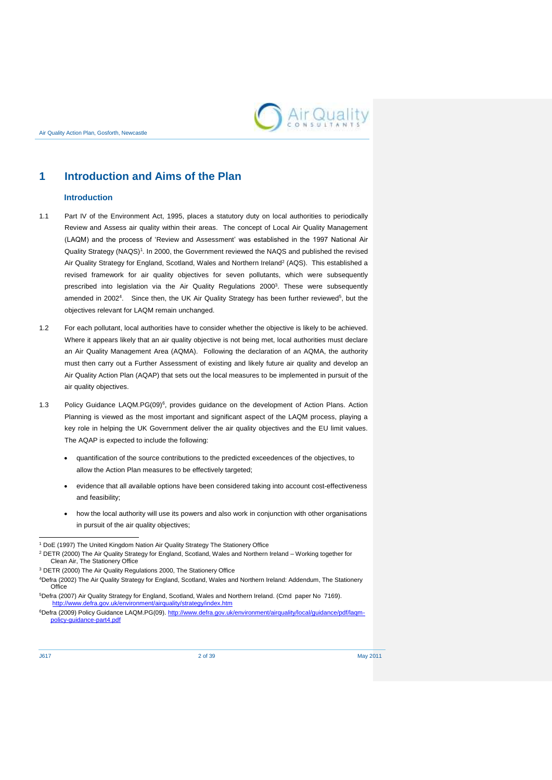

## <span id="page-5-0"></span>**1 Introduction and Aims of the Plan**

## **Introduction**

- 1.1 Part IV of the Environment Act, 1995, places a statutory duty on local authorities to periodically Review and Assess air quality within their areas. The concept of Local Air Quality Management (LAQM) and the process of 'Review and Assessment' was established in the 1997 National Air Quality Strategy (NAQS)<sup>1</sup>. In 2000, the Government reviewed the NAQS and published the revised Air Quality Strategy for England, Scotland, Wales and Northern Ireland<sup>2</sup> (AQS). This established a revised framework for air quality objectives for seven pollutants, which were subsequently prescribed into legislation via the Air Quality Regulations 2000<sup>3</sup>. These were subsequently amended in 2002<sup>4</sup>. Since then, the UK Air Quality Strategy has been further reviewed<sup>5</sup>, but the objectives relevant for LAQM remain unchanged.
- 1.2 For each pollutant, local authorities have to consider whether the objective is likely to be achieved. Where it appears likely that an air quality objective is not being met, local authorities must declare an Air Quality Management Area (AQMA). Following the declaration of an AQMA, the authority must then carry out a Further Assessment of existing and likely future air quality and develop an Air Quality Action Plan (AQAP) that sets out the local measures to be implemented in pursuit of the air quality objectives.
- 1.3 Policy Guidance LAQM.PG(09)<sup>6</sup>, provides guidance on the development of Action Plans. Action Planning is viewed as the most important and significant aspect of the LAQM process, playing a key role in helping the UK Government deliver the air quality objectives and the EU limit values. The AQAP is expected to include the following:
	- quantification of the source contributions to the predicted exceedences of the objectives, to allow the Action Plan measures to be effectively targeted;
	- evidence that all available options have been considered taking into account cost-effectiveness and feasibility;
	- how the local authority will use its powers and also work in conjunction with other organisations in pursuit of the air quality objectives;

 <sup>1</sup> DoE (1997) The United Kingdom Nation Air Quality Strategy The Stationery Office

<sup>2</sup> DETR (2000) The Air Quality Strategy for England, Scotland, Wales and Northern Ireland – Working together for Clean Air, The Stationery Office

<sup>3</sup> DETR (2000) The Air Quality Regulations 2000, The Stationery Office

<sup>4</sup>Defra (2002) The Air Quality Strategy for England, Scotland, Wales and Northern Ireland: Addendum, The Stationery **Office** 

<sup>5</sup>Defra (2007) Air Quality Strategy for England, Scotland, Wales and Northern Ireland. (Cmd paper No 7169). <http://www.defra.gov.uk/environment/airquality/strategy/index.htm>

<sup>6</sup>Defra (2009) Policy Guidance LAQM.PG(09)[. http://www.defra.gov.uk/environment/airquality/local/guidance/pdf/laqm](http://www.defra.gov.uk/environment/airquality/local/guidance/pdf/laqm-policy-guidance-part4.pdf)[policy-guidance-part4.pdf](http://www.defra.gov.uk/environment/airquality/local/guidance/pdf/laqm-policy-guidance-part4.pdf)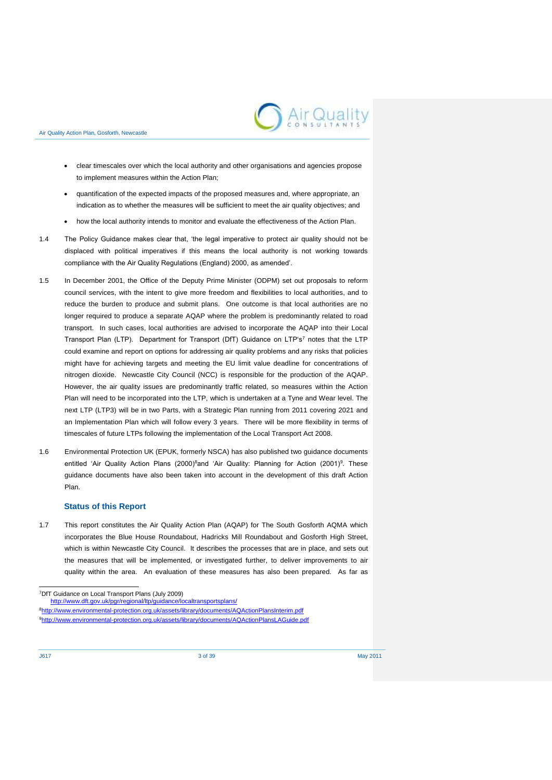

- clear timescales over which the local authority and other organisations and agencies propose to implement measures within the Action Plan;
- quantification of the expected impacts of the proposed measures and, where appropriate, an indication as to whether the measures will be sufficient to meet the air quality objectives; and
- how the local authority intends to monitor and evaluate the effectiveness of the Action Plan.
- 1.4 The Policy Guidance makes clear that, 'the legal imperative to protect air quality should not be displaced with political imperatives if this means the local authority is not working towards compliance with the Air Quality Regulations (England) 2000, as amended'.
- 1.5 In December 2001, the Office of the Deputy Prime Minister (ODPM) set out proposals to reform council services, with the intent to give more freedom and flexibilities to local authorities, and to reduce the burden to produce and submit plans. One outcome is that local authorities are no longer required to produce a separate AQAP where the problem is predominantly related to road transport. In such cases, local authorities are advised to incorporate the AQAP into their Local Transport Plan (LTP). Department for Transport (DfT) Guidance on LTP's<sup>7</sup> notes that the LTP could examine and report on options for addressing air quality problems and any risks that policies might have for achieving targets and meeting the EU limit value deadline for concentrations of nitrogen dioxide. Newcastle City Council (NCC) is responsible for the production of the AQAP. However, the air quality issues are predominantly traffic related, so measures within the Action Plan will need to be incorporated into the LTP, which is undertaken at a Tyne and Wear level. The next LTP (LTP3) will be in two Parts, with a Strategic Plan running from 2011 covering 2021 and an Implementation Plan which will follow every 3 years. There will be more flexibility in terms of timescales of future LTPs following the implementation of the Local Transport Act 2008.
- 1.6 Environmental Protection UK (EPUK, formerly NSCA) has also published two guidance documents entitled 'Air Quality Action Plans (2000)<sup>8</sup>and 'Air Quality: Planning for Action (2001)<sup>9</sup>. These guidance documents have also been taken into account in the development of this draft Action Plan.

### **Status of this Report**

1.7 This report constitutes the Air Quality Action Plan (AQAP) for The South Gosforth AQMA which incorporates the Blue House Roundabout, Hadricks Mill Roundabout and Gosforth High Street, which is within Newcastle City Council. It describes the processes that are in place, and sets out the measures that will be implemented, or investigated further, to deliver improvements to air quality within the area. An evaluation of these measures has also been prepared. As far as

8<http://www.environmental-protection.org.uk/assets/library/documents/AQActionPlansInterim.pdf> 9<http://www.environmental-protection.org.uk/assets/library/documents/AQActionPlansLAGuide.pdf>

1

<sup>7</sup>DfT Guidance on Local Transport Plans (July 2009)

<http://www.dft.gov.uk/pgr/regional/ltp/guidance/localtransportsplans/>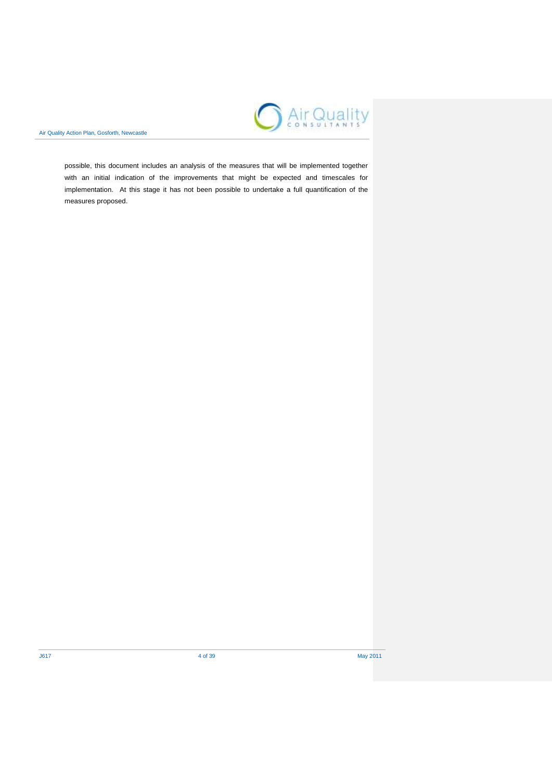

possible, this document includes an analysis of the measures that will be implemented together with an initial indication of the improvements that might be expected and timescales for implementation. At this stage it has not been possible to undertake a full quantification of the measures proposed.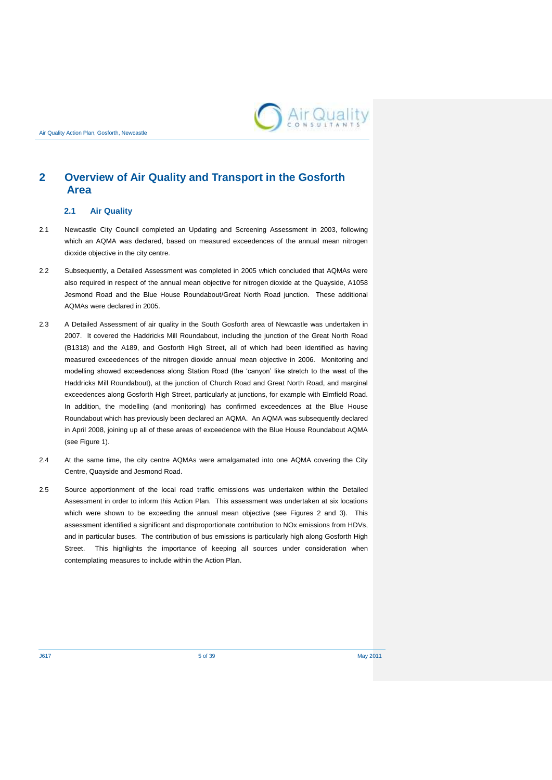

## <span id="page-8-0"></span>**2 Overview of Air Quality and Transport in the Gosforth Area**

#### **2.1 Air Quality**

- 2.1 Newcastle City Council completed an Updating and Screening Assessment in 2003, following which an AQMA was declared, based on measured exceedences of the annual mean nitrogen dioxide objective in the city centre.
- 2.2 Subsequently, a Detailed Assessment was completed in 2005 which concluded that AQMAs were also required in respect of the annual mean objective for nitrogen dioxide at the Quayside, A1058 Jesmond Road and the Blue House Roundabout/Great North Road junction. These additional AQMAs were declared in 2005.
- 2.3 A Detailed Assessment of air quality in the South Gosforth area of Newcastle was undertaken in 2007. It covered the Haddricks Mill Roundabout, including the junction of the Great North Road (B1318) and the A189, and Gosforth High Street, all of which had been identified as having measured exceedences of the nitrogen dioxide annual mean objective in 2006. Monitoring and modelling showed exceedences along Station Road (the 'canyon' like stretch to the west of the Haddricks Mill Roundabout), at the junction of Church Road and Great North Road, and marginal exceedences along Gosforth High Street, particularly at junctions, for example with Elmfield Road. In addition, the modelling (and monitoring) has confirmed exceedences at the Blue House Roundabout which has previously been declared an AQMA. An AQMA was subsequently declared in April 2008, joining up all of these areas of exceedence with the Blue House Roundabout AQMA (see Figure 1).
- 2.4 At the same time, the city centre AQMAs were amalgamated into one AQMA covering the City Centre, Quayside and Jesmond Road.
- 2.5 Source apportionment of the local road traffic emissions was undertaken within the Detailed Assessment in order to inform this Action Plan. This assessment was undertaken at six locations which were shown to be exceeding the annual mean objective (see Figures 2 and 3). This assessment identified a significant and disproportionate contribution to NOx emissions from HDVs, and in particular buses. The contribution of bus emissions is particularly high along Gosforth High Street. This highlights the importance of keeping all sources under consideration when contemplating measures to include within the Action Plan.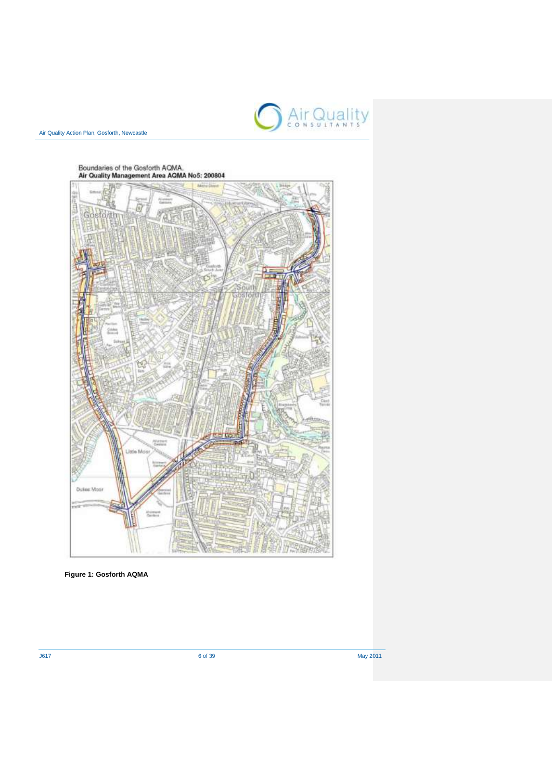



**Figure 1: Gosforth AQMA**

J617 6 of 39 May 2011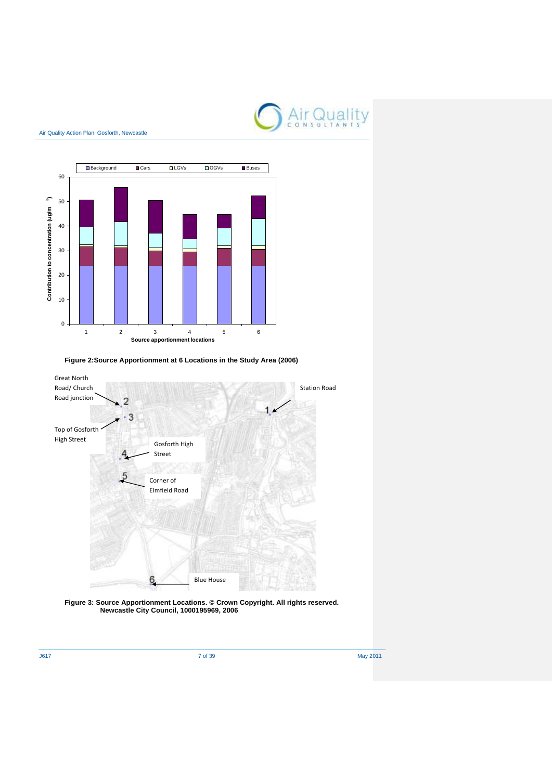



**Figure 2:Source Apportionment at 6 Locations in the Study Area (2006)**



**Figure 3: Source Apportionment Locations. © Crown Copyright. All rights reserved. Newcastle City Council, 1000195969, 2006**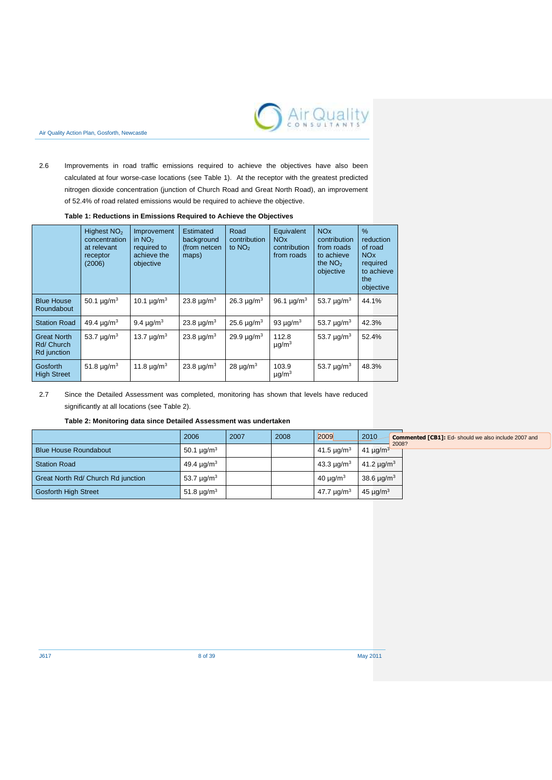

2.6 Improvements in road traffic emissions required to achieve the objectives have also been calculated at four worse-case locations (see Table 1). At the receptor with the greatest predicted nitrogen dioxide concentration (junction of Church Road and Great North Road), an improvement of 52.4% of road related emissions would be required to achieve the objective.

### **Table 1: Reductions in Emissions Required to Achieve the Objectives**

|                                                 | Highest NO <sub>2</sub><br>concentration<br>at relevant<br>receptor<br>(2006) | Improvement<br>in $NO2$<br>required to<br>achieve the<br>objective | Estimated<br>background<br>(from netcen<br>maps) | Road<br>contribution<br>to $NO2$ | Equivalent<br>NO <sub>x</sub><br>contribution<br>from roads | <b>NO<sub>x</sub></b><br>contribution<br>from roads<br>to achieve<br>the $NO2$<br>objective | $\%$<br>reduction<br>of road<br><b>NO<sub>x</sub></b><br>required<br>to achieve<br>the<br>objective |
|-------------------------------------------------|-------------------------------------------------------------------------------|--------------------------------------------------------------------|--------------------------------------------------|----------------------------------|-------------------------------------------------------------|---------------------------------------------------------------------------------------------|-----------------------------------------------------------------------------------------------------|
| <b>Blue House</b><br>Roundabout                 | 50.1 $\mu q/m^3$                                                              | 10.1 $\mu q/m^3$                                                   | 23.8 $\mu q/m^3$                                 | $26.3 \mu q/m^3$                 | 96.1 $\mu q/m^3$                                            | 53.7 $\mu$ g/m <sup>3</sup>                                                                 | 44.1%                                                                                               |
| <b>Station Road</b>                             | 49.4 $\mu$ g/m <sup>3</sup>                                                   | 9.4 $\mu$ g/m <sup>3</sup>                                         | 23.8 $\mu$ g/m <sup>3</sup>                      | $25.6 \,\mu g/m^3$               | 93 $\mu$ g/m <sup>3</sup>                                   | 53.7 $\mu$ g/m <sup>3</sup>                                                                 | 42.3%                                                                                               |
| <b>Great North</b><br>Rd/ Church<br>Rd junction | 53.7 $\mu q/m^3$                                                              | 13.7 $\mu q/m^3$                                                   | 23.8 $\mu q/m^3$                                 | $29.9 \mu q/m^3$                 | 112.8<br>$\mu$ g/m <sup>3</sup>                             | 53.7 $\mu$ g/m <sup>3</sup>                                                                 | 52.4%                                                                                               |
| Gosforth<br><b>High Street</b>                  | 51.8 $\mu$ g/m <sup>3</sup>                                                   | 11.8 $\mu q/m^3$                                                   | 23.8 $\mu q/m^3$                                 | $28 \mu g/m^3$                   | 103.9<br>$\mu$ g/m <sup>3</sup>                             | 53.7 $\mu$ g/m <sup>3</sup>                                                                 | 48.3%                                                                                               |

2.7 Since the Detailed Assessment was completed, monitoring has shown that levels have reduced significantly at all locations (see Table 2).

#### **Table 2: Monitoring data since Detailed Assessment was undertaken**

|                                    | 2006                        | 2007 | 2008 | 2009                        | 2010<br><b>Commented [CB1]:</b> Ed-should we also include 2007 and<br>2008? |
|------------------------------------|-----------------------------|------|------|-----------------------------|-----------------------------------------------------------------------------|
| <b>Blue House Roundabout</b>       | 50.1 $\mu$ g/m <sup>3</sup> |      |      | 41.5 $\mu$ g/m <sup>3</sup> | 41 $\mu$ g/m <sup>3</sup>                                                   |
| <b>Station Road</b>                | 49.4 $\mu$ g/m <sup>3</sup> |      |      | 43.3 $\mu q/m^3$            | 41.2 $\mu q/m^3$                                                            |
| Great North Rd/ Church Rd junction | 53.7 $\mu$ g/m <sup>3</sup> |      |      | $40 \mu q/m3$               | 38.6 $\mu$ g/m <sup>3</sup>                                                 |
| <b>Gosforth High Street</b>        | 51.8 $\mu$ g/m <sup>3</sup> |      |      | 47.7 $\mu$ g/m <sup>3</sup> | $45 \mu q/m^3$                                                              |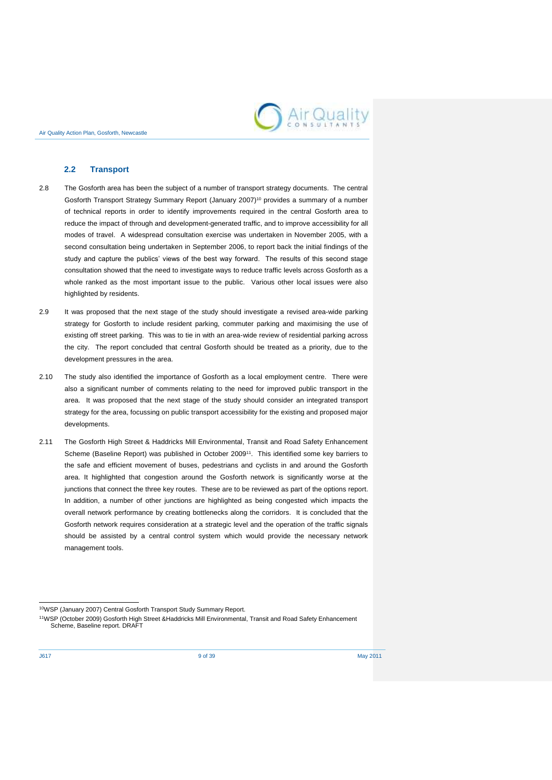

### **2.2 Transport**

- 2.8 The Gosforth area has been the subject of a number of transport strategy documents. The central Gosforth Transport Strategy Summary Report (January 2007)<sup>10</sup> provides a summary of a number of technical reports in order to identify improvements required in the central Gosforth area to reduce the impact of through and development-generated traffic, and to improve accessibility for all modes of travel. A widespread consultation exercise was undertaken in November 2005, with a second consultation being undertaken in September 2006, to report back the initial findings of the study and capture the publics' views of the best way forward. The results of this second stage consultation showed that the need to investigate ways to reduce traffic levels across Gosforth as a whole ranked as the most important issue to the public. Various other local issues were also highlighted by residents.
- 2.9 It was proposed that the next stage of the study should investigate a revised area-wide parking strategy for Gosforth to include resident parking, commuter parking and maximising the use of existing off street parking. This was to tie in with an area-wide review of residential parking across the city. The report concluded that central Gosforth should be treated as a priority, due to the development pressures in the area.
- 2.10 The study also identified the importance of Gosforth as a local employment centre. There were also a significant number of comments relating to the need for improved public transport in the area. It was proposed that the next stage of the study should consider an integrated transport strategy for the area, focussing on public transport accessibility for the existing and proposed major developments.
- 2.11 The Gosforth High Street & Haddricks Mill Environmental, Transit and Road Safety Enhancement Scheme (Baseline Report) was published in October 2009<sup>11</sup>. This identified some key barriers to the safe and efficient movement of buses, pedestrians and cyclists in and around the Gosforth area. It highlighted that congestion around the Gosforth network is significantly worse at the junctions that connect the three key routes. These are to be reviewed as part of the options report. In addition, a number of other junctions are highlighted as being congested which impacts the overall network performance by creating bottlenecks along the corridors. It is concluded that the Gosforth network requires consideration at a strategic level and the operation of the traffic signals should be assisted by a central control system which would provide the necessary network management tools.

1

<sup>10</sup>WSP (January 2007) Central Gosforth Transport Study Summary Report.

<sup>11</sup>WSP (October 2009) Gosforth High Street &Haddricks Mill Environmental, Transit and Road Safety Enhancement Scheme, Baseline report. DRAFT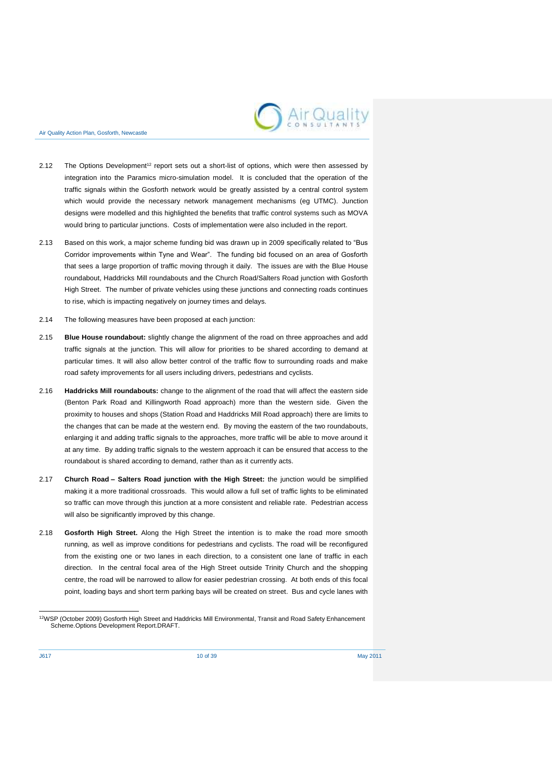

- 2.12 The Options Development<sup>12</sup> report sets out a short-list of options, which were then assessed by integration into the Paramics micro-simulation model. It is concluded that the operation of the traffic signals within the Gosforth network would be greatly assisted by a central control system which would provide the necessary network management mechanisms (eg UTMC). Junction designs were modelled and this highlighted the benefits that traffic control systems such as MOVA would bring to particular junctions. Costs of implementation were also included in the report.
- 2.13 Based on this work, a major scheme funding bid was drawn up in 2009 specifically related to "Bus Corridor improvements within Tyne and Wear". The funding bid focused on an area of Gosforth that sees a large proportion of traffic moving through it daily. The issues are with the Blue House roundabout, Haddricks Mill roundabouts and the Church Road/Salters Road junction with Gosforth High Street. The number of private vehicles using these junctions and connecting roads continues to rise, which is impacting negatively on journey times and delays.
- 2.14 The following measures have been proposed at each junction:
- 2.15 **Blue House roundabout:** slightly change the alignment of the road on three approaches and add traffic signals at the junction. This will allow for priorities to be shared according to demand at particular times. It will also allow better control of the traffic flow to surrounding roads and make road safety improvements for all users including drivers, pedestrians and cyclists.
- 2.16 **Haddricks Mill roundabouts:** change to the alignment of the road that will affect the eastern side (Benton Park Road and Killingworth Road approach) more than the western side. Given the proximity to houses and shops (Station Road and Haddricks Mill Road approach) there are limits to the changes that can be made at the western end. By moving the eastern of the two roundabouts, enlarging it and adding traffic signals to the approaches, more traffic will be able to move around it at any time. By adding traffic signals to the western approach it can be ensured that access to the roundabout is shared according to demand, rather than as it currently acts.
- 2.17 **Church Road – Salters Road junction with the High Street:** the junction would be simplified making it a more traditional crossroads. This would allow a full set of traffic lights to be eliminated so traffic can move through this junction at a more consistent and reliable rate. Pedestrian access will also be significantly improved by this change.
- 2.18 **Gosforth High Street.** Along the High Street the intention is to make the road more smooth running, as well as improve conditions for pedestrians and cyclists. The road will be reconfigured from the existing one or two lanes in each direction, to a consistent one lane of traffic in each direction. In the central focal area of the High Street outside Trinity Church and the shopping centre, the road will be narrowed to allow for easier pedestrian crossing. At both ends of this focal point, loading bays and short term parking bays will be created on street. Bus and cycle lanes with

 <sup>12</sup>WSP (October 2009) Gosforth High Street and Haddricks Mill Environmental, Transit and Road Safety Enhancement Scheme.Options Development Report.DRAFT.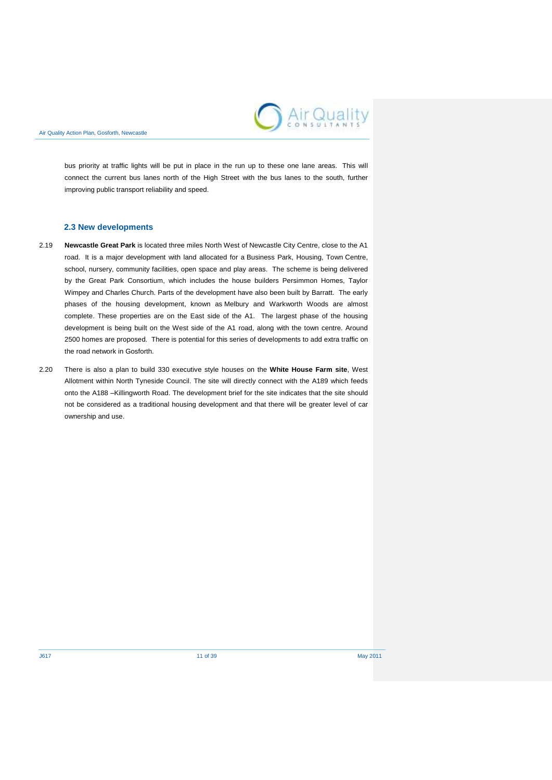

bus priority at traffic lights will be put in place in the run up to these one lane areas. This will connect the current bus lanes north of the High Street with the bus lanes to the south, further improving public transport reliability and speed.

## **2.3 New developments**

- 2.19 **Newcastle Great Park** is located three miles North West of Newcastle City Centre, close to the A1 road. It is a major development with land allocated for a Business Park, Housing, Town Centre, school, nursery, community facilities, open space and play areas. The scheme is being delivered by the Great Park Consortium, which includes the house builders Persimmon Homes, Taylor Wimpey and Charles Church. Parts of the development have also been built by Barratt. The early phases of the housing development, known as Melbury and Warkworth Woods are almost complete. These properties are on the East side of the A1. The largest phase of the housing development is being built on the West side of the A1 road, along with the town centre. Around 2500 homes are proposed. There is potential for this series of developments to add extra traffic on the road network in Gosforth.
- 2.20 There is also a plan to build 330 executive style houses on the **White House Farm site**, West Allotment within North Tyneside Council. The site will directly connect with the A189 which feeds onto the A188 –Killingworth Road. The development brief for the site indicates that the site should not be considered as a traditional housing development and that there will be greater level of car ownership and use.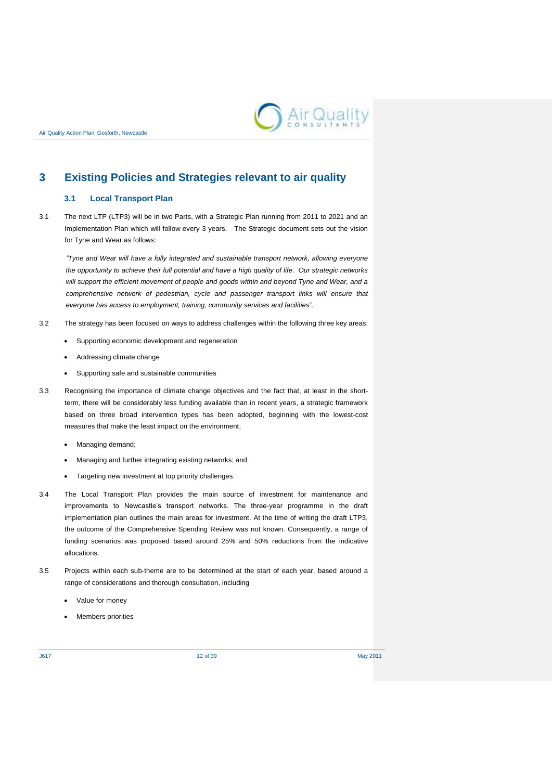

## <span id="page-15-0"></span>**3 Existing Policies and Strategies relevant to air quality**

## **3.1 Local Transport Plan**

3.1 The next LTP (LTP3) will be in two Parts, with a Strategic Plan running from 2011 to 2021 and an Implementation Plan which will follow every 3 years. The Strategic document sets out the vision for Tyne and Wear as follows:

*"Tyne and Wear will have a fully integrated and sustainable transport network, allowing everyone the opportunity to achieve their full potential and have a high quality of life. Our strategic networks will support the efficient movement of people and goods within and beyond Tyne and Wear, and a*  comprehensive network of pedestrian, cycle and passenger transport links will ensure that *everyone has access to employment, training, community services and facilities".*

- 3.2 The strategy has been focused on ways to address challenges within the following three key areas:
	- Supporting economic development and regeneration
	- Addressing climate change
	- Supporting safe and sustainable communities
- 3.3 Recognising the importance of climate change objectives and the fact that, at least in the shortterm, there will be considerably less funding available than in recent years, a strategic framework based on three broad intervention types has been adopted, beginning with the lowest-cost measures that make the least impact on the environment;
	- Managing demand;
	- Managing and further integrating existing networks; and
	- Targeting new investment at top priority challenges.
- 3.4 The Local Transport Plan provides the main source of investment for maintenance and improvements to Newcastle's transport networks. The three-year programme in the draft implementation plan outlines the main areas for investment. At the time of writing the draft LTP3, the outcome of the Comprehensive Spending Review was not known. Consequently, a range of funding scenarios was proposed based around 25% and 50% reductions from the indicative allocations.
- 3.5 Projects within each sub-theme are to be determined at the start of each year, based around a range of considerations and thorough consultation, including
	- Value for money
	- Members priorities

J617 12 of 39 May 2011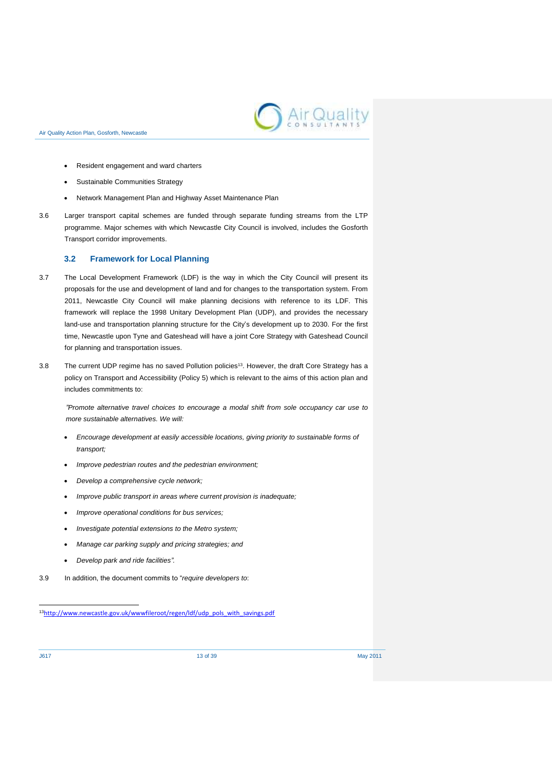

- Resident engagement and ward charters
- Sustainable Communities Strategy
- Network Management Plan and Highway Asset Maintenance Plan
- 3.6 Larger transport capital schemes are funded through separate funding streams from the LTP programme. Major schemes with which Newcastle City Council is involved, includes the Gosforth Transport corridor improvements.

### **3.2 Framework for Local Planning**

- 3.7 The Local Development Framework (LDF) is the way in which the City Council will present its proposals for the use and development of land and for changes to the transportation system. From 2011, Newcastle City Council will make planning decisions with reference to its LDF. This framework will replace the 1998 Unitary Development Plan (UDP), and provides the necessary land-use and transportation planning structure for the City's development up to 2030. For the first time, Newcastle upon Tyne and Gateshead will have a joint Core Strategy with Gateshead Council for planning and transportation issues.
- 3.8 The current UDP regime has no saved Pollution policies<sup>13</sup>. However, the draft Core Strategy has a policy on Transport and Accessibility (Policy 5) which is relevant to the aims of this action plan and includes commitments to:

*"Promote alternative travel choices to encourage a modal shift from sole occupancy car use to more sustainable alternatives. We will:*

- *Encourage development at easily accessible locations, giving priority to sustainable forms of transport;*
- *Improve pedestrian routes and the pedestrian environment;*
- *Develop a comprehensive cycle network;*
- *Improve public transport in areas where current provision is inadequate;*
- *Improve operational conditions for bus services;*
- *Investigate potential extensions to the Metro system;*
- *Manage car parking supply and pricing strategies; and*
- *Develop park and ride facilities".*
- 3.9 In addition, the document commits to "*require developers to*:

<sup>13</sup>[http://www.newcastle.gov.uk/wwwfileroot/regen/ldf/udp\\_pols\\_with\\_savings.pdf](http://www.newcastle.gov.uk/wwwfileroot/regen/ldf/udp_pols_with_savings.pdf)

1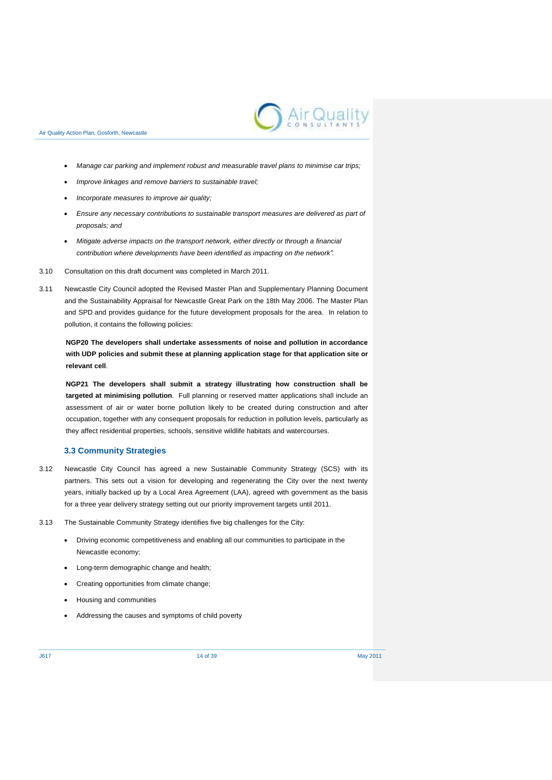

- *Manage car parking and implement robust and measurable travel plans to minimise car trips;*
- *Improve linkages and remove barriers to sustainable travel;*
- *Incorporate measures to improve air quality;*
- *Ensure any necessary contributions to sustainable transport measures are delivered as part of proposals; and*
- *Mitigate adverse impacts on the transport network, either directly or through a financial contribution where developments have been identified as impacting on the network".*
- 3.10 Consultation on this draft document was completed in March 2011.
- 3.11 Newcastle City Council adopted the Revised Master Plan and Supplementary Planning Document and the Sustainability Appraisal for Newcastle Great Park on the 18th May 2006. The Master Plan and SPD and provides guidance for the future development proposals for the area. In relation to pollution, it contains the following policies:

**NGP20 The developers shall undertake assessments of noise and pollution in accordance with UDP policies and submit these at planning application stage for that application site or relevant cell**.

**NGP21 The developers shall submit a strategy illustrating how construction shall be targeted at minimising pollution**. Full planning or reserved matter applications shall include an assessment of air or water borne pollution likely to be created during construction and after occupation, together with any consequent proposals for reduction in pollution levels, particularly as they affect residential properties, schools, sensitive wildlife habitats and watercourses.

### **3.3 Community Strategies**

- 3.12 Newcastle City Council has agreed a new Sustainable Community Strategy (SCS) with its partners. This sets out a vision for developing and regenerating the City over the next twenty years, initially backed up by a Local Area Agreement (LAA), agreed with government as the basis for a three year delivery strategy setting out our priority improvement targets until 2011.
- 3.13 The Sustainable Community Strategy identifies five big challenges for the City:
	- Driving economic competitiveness and enabling all our communities to participate in the Newcastle economy;
	- Long-term demographic change and health;
	- Creating opportunities from climate change;
	- Housing and communities
	- Addressing the causes and symptoms of child poverty

J617 14 of 39 May 2011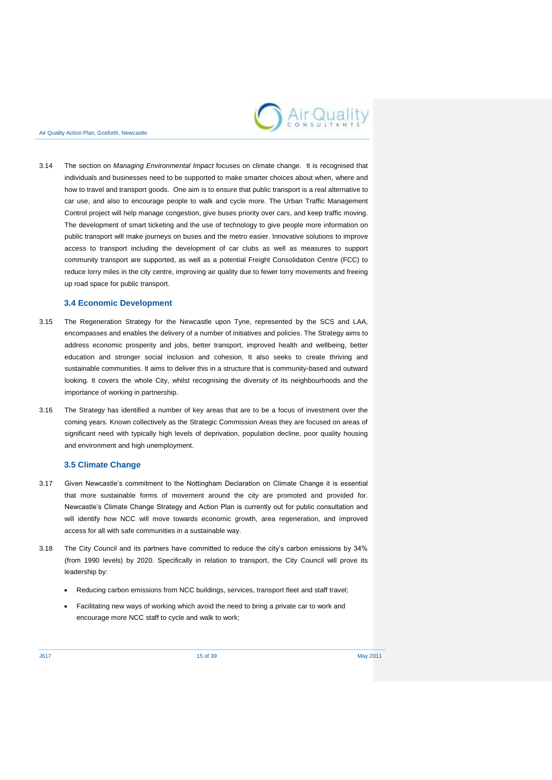

3.14 The section on *Managing Environmental Impact* focuses on climate change. It is recognised that individuals and businesses need to be supported to make smarter choices about when, where and how to travel and transport goods. One aim is to ensure that public transport is a real alternative to car use, and also to encourage people to walk and cycle more. The Urban Traffic Management Control project will help manage congestion, give buses priority over cars, and keep traffic moving. The development of smart ticketing and the use of technology to give people more information on public transport will make journeys on buses and the metro easier. Innovative solutions to improve access to transport including the development of car clubs as well as measures to support community transport are supported, as well as a potential Freight Consolidation Centre (FCC) to reduce lorry miles in the city centre, improving air quality due to fewer lorry movements and freeing up road space for public transport.

#### **3.4 Economic Development**

- 3.15 The Regeneration Strategy for the Newcastle upon Tyne, represented by the SCS and LAA, encompasses and enables the delivery of a number of initiatives and policies. The Strategy aims to address economic prosperity and jobs, better transport, improved health and wellbeing, better education and stronger social inclusion and cohesion. It also seeks to create thriving and sustainable communities. It aims to deliver this in a structure that is community-based and outward looking. It covers the whole City, whilst recognising the diversity of its neighbourhoods and the importance of working in partnership.
- 3.16 The Strategy has identified a number of key areas that are to be a focus of investment over the coming years. Known collectively as the Strategic Commission Areas they are focused on areas of significant need with typically high levels of deprivation, population decline, poor quality housing and environment and high unemployment.

#### **3.5 Climate Change**

- 3.17 Given Newcastle's commitment to the Nottingham Declaration on Climate Change it is essential that more sustainable forms of movement around the city are promoted and provided for. Newcastle's Climate Change Strategy and Action Plan is currently out for public consultation and will identify how NCC will move towards economic growth, area regeneration, and improved access for all with safe communities in a sustainable way.
- 3.18 The City Council and its partners have committed to reduce the city's carbon emissions by 34% (from 1990 levels) by 2020. Specifically in relation to transport, the City Council will prove its leadership by:
	- Reducing carbon emissions from NCC buildings, services, transport fleet and staff travel;
	- Facilitating new ways of working which avoid the need to bring a private car to work and encourage more NCC staff to cycle and walk to work;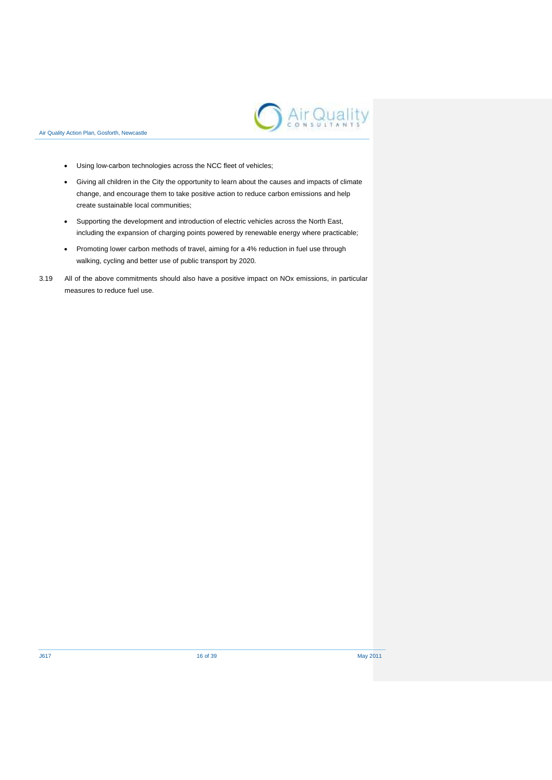

- Using low-carbon technologies across the NCC fleet of vehicles;
- Giving all children in the City the opportunity to learn about the causes and impacts of climate change, and encourage them to take positive action to reduce carbon emissions and help create sustainable local communities;
- Supporting the development and introduction of electric vehicles across the North East, including the expansion of charging points powered by renewable energy where practicable;
- Promoting lower carbon methods of travel, aiming for a 4% reduction in fuel use through walking, cycling and better use of public transport by 2020.
- 3.19 All of the above commitments should also have a positive impact on NOx emissions, in particular measures to reduce fuel use.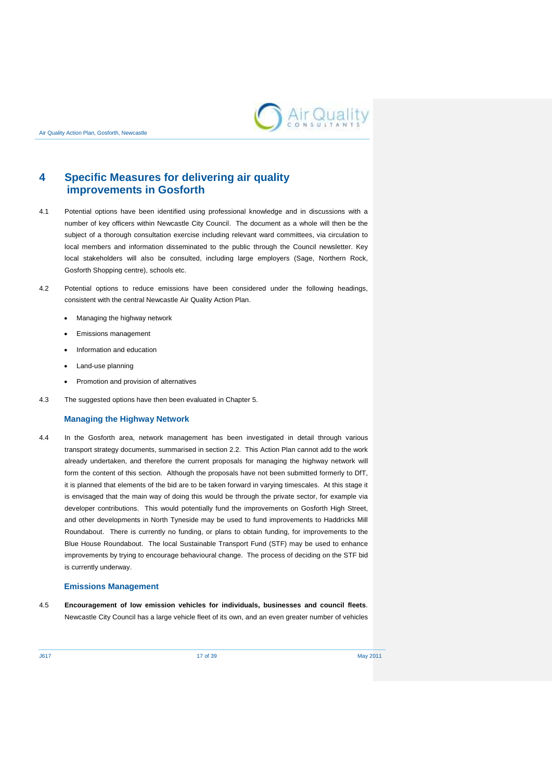

## <span id="page-20-0"></span>**4 Specific Measures for delivering air quality improvements in Gosforth**

- 4.1 Potential options have been identified using professional knowledge and in discussions with a number of key officers within Newcastle City Council. The document as a whole will then be the subject of a thorough consultation exercise including relevant ward committees, via circulation to local members and information disseminated to the public through the Council newsletter. Key local stakeholders will also be consulted, including large employers (Sage, Northern Rock, Gosforth Shopping centre), schools etc.
- 4.2 Potential options to reduce emissions have been considered under the following headings, consistent with the central Newcastle Air Quality Action Plan.
	- Managing the highway network
	- Emissions management
	- Information and education
	- Land-use planning
	- Promotion and provision of alternatives
- 4.3 The suggested options have then been evaluated in Chapter 5.

#### **Managing the Highway Network**

4.4 In the Gosforth area, network management has been investigated in detail through various transport strategy documents, summarised in section 2.2. This Action Plan cannot add to the work already undertaken, and therefore the current proposals for managing the highway network will form the content of this section. Although the proposals have not been submitted formerly to DfT, it is planned that elements of the bid are to be taken forward in varying timescales. At this stage it is envisaged that the main way of doing this would be through the private sector, for example via developer contributions. This would potentially fund the improvements on Gosforth High Street, and other developments in North Tyneside may be used to fund improvements to Haddricks Mill Roundabout. There is currently no funding, or plans to obtain funding, for improvements to the Blue House Roundabout. The local Sustainable Transport Fund (STF) may be used to enhance improvements by trying to encourage behavioural change. The process of deciding on the STF bid is currently underway.

#### **Emissions Management**

4.5 **Encouragement of low emission vehicles for individuals, businesses and council fleets**. Newcastle City Council has a large vehicle fleet of its own, and an even greater number of vehicles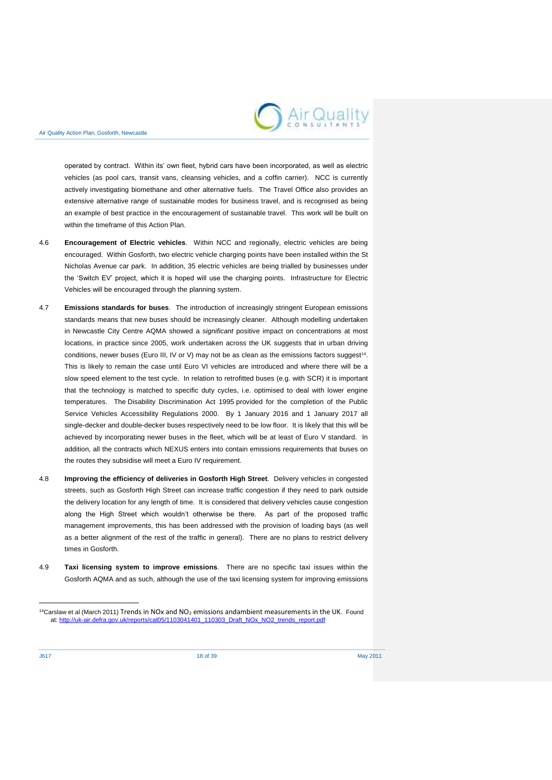

operated by contract. Within its' own fleet, hybrid cars have been incorporated, as well as electric vehicles (as pool cars, transit vans, cleansing vehicles, and a coffin carrier). NCC is currently actively investigating biomethane and other alternative fuels. The Travel Office also provides an extensive alternative range of sustainable modes for business travel, and is recognised as being an example of best practice in the encouragement of sustainable travel. This work will be built on within the timeframe of this Action Plan.

- 4.6 **Encouragement of Electric vehicles**. Within NCC and regionally, electric vehicles are being encouraged. Within Gosforth, two electric vehicle charging points have been installed within the St Nicholas Avenue car park. In addition, 35 electric vehicles are being trialled by businesses under the 'Switch EV' project, which it is hoped will use the charging points. Infrastructure for Electric Vehicles will be encouraged through the planning system.
- 4.7 **Emissions standards for buses**. The introduction of increasingly stringent European emissions standards means that new buses should be increasingly cleaner. Although modelling undertaken in Newcastle City Centre AQMA showed a *significant* positive impact on concentrations at most locations, in practice since 2005, work undertaken across the UK suggests that in urban driving conditions, newer buses (Euro III, IV or V) may not be as clean as the emissions factors suggest<sup>14</sup>. This is likely to remain the case until Euro VI vehicles are introduced and where there will be a slow speed element to the test cycle. In relation to retrofitted buses (e.g. with SCR) it is important that the technology is matched to specific duty cycles, i.e. optimised to deal with lower engine temperatures. The [Disability Discrimination Act 1995](http://en.wikipedia.org/wiki/Disability_Discrimination_Act_1995) provided for the completion of the Public Service Vehicles Accessibility Regulations 2000. By 1 January 2016 and 1 January 2017 all single-decker and double-decker buses respectively need to be low floor. It is likely that this will be achieved by incorporating newer buses in the fleet, which will be at least of Euro V standard. In addition, all the contracts which NEXUS enters into contain emissions requirements that buses on the routes they subsidise will meet a Euro IV requirement.
- 4.8 **Improving the efficiency of deliveries in Gosforth High Street**. Delivery vehicles in congested streets, such as Gosforth High Street can increase traffic congestion if they need to park outside the delivery location for any length of time. It is considered that delivery vehicles cause congestion along the High Street which wouldn't otherwise be there. As part of the proposed traffic management improvements, this has been addressed with the provision of loading bays (as well as a better alignment of the rest of the traffic in general). There are no plans to restrict delivery times in Gosforth.
- 4.9 **Taxi licensing system to improve emissions**. There are no specific taxi issues within the Gosforth AQMA and as such, although the use of the taxi licensing system for improving emissions

1

<sup>&</sup>lt;sup>14</sup>Carslaw et al (March 2011) Trends in NOx and NO<sub>2</sub> emissions andambient measurements in the UK. Found at[: http://uk-air.defra.gov.uk/reports/cat05/1103041401\\_110303\\_Draft\\_NOx\\_NO2\\_trends\\_report.pdf](http://uk-air.defra.gov.uk/reports/cat05/1103041401_110303_Draft_NOx_NO2_trends_report.pdf)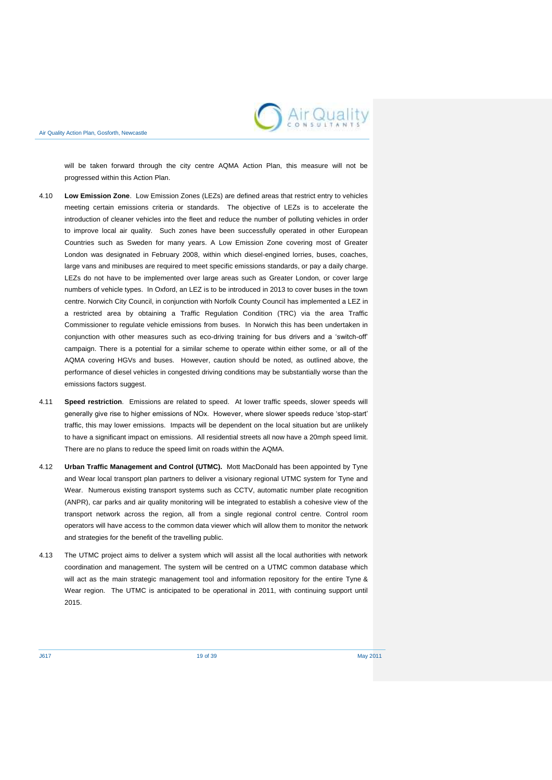

will be taken forward through the city centre AQMA Action Plan, this measure will not be progressed within this Action Plan.

- 4.10 **Low Emission Zone**. Low Emission Zones (LEZs) are defined areas that restrict entry to vehicles meeting certain emissions criteria or standards. The objective of LEZs is to accelerate the introduction of cleaner vehicles into the fleet and reduce the number of polluting vehicles in order to improve local air quality. Such zones have been successfully operated in other European Countries such as Sweden for many years. A Low Emission Zone covering most of Greater London was designated in February 2008, within which diesel-engined lorries, buses, coaches, large vans and minibuses are required to meet specific emissions standards, or pay a daily charge. LEZs do not have to be implemented over large areas such as Greater London, or cover large numbers of vehicle types. In Oxford, an LEZ is to be introduced in 2013 to cover buses in the town centre. Norwich City Council, in conjunction with Norfolk County Council has implemented a LEZ in a restricted area by obtaining a Traffic Regulation Condition (TRC) via the area Traffic Commissioner to regulate vehicle emissions from buses. In Norwich this has been undertaken in conjunction with other measures such as eco-driving training for bus drivers and a 'switch-off' campaign. There is a potential for a similar scheme to operate within either some, or all of the AQMA covering HGVs and buses. However, caution should be noted, as outlined above, the performance of diesel vehicles in congested driving conditions may be substantially worse than the emissions factors suggest.
- 4.11 **Speed restriction**. Emissions are related to speed. At lower traffic speeds, slower speeds will generally give rise to higher emissions of NOx. However, where slower speeds reduce 'stop-start' traffic, this may lower emissions. Impacts will be dependent on the local situation but are unlikely to have a significant impact on emissions. All residential streets all now have a 20mph speed limit. There are no plans to reduce the speed limit on roads within the AQMA.
- 4.12 **Urban Traffic Management and Control (UTMC).** Mott MacDonald has been appointed by Tyne and Wear local transport plan partners to deliver a visionary regional UTMC system for Tyne and Wear. Numerous existing transport systems such as CCTV, automatic number plate recognition (ANPR), car parks and air quality monitoring will be integrated to establish a cohesive view of the transport network across the region, all from a single regional control centre. Control room operators will have access to the common data viewer which will allow them to monitor the network and strategies for the benefit of the travelling public.
- 4.13 The UTMC project aims to deliver a system which will assist all the local authorities with network coordination and management. The system will be centred on a UTMC common database which will act as the main strategic management tool and information repository for the entire Tyne & Wear region. The UTMC is anticipated to be operational in 2011, with continuing support until 2015.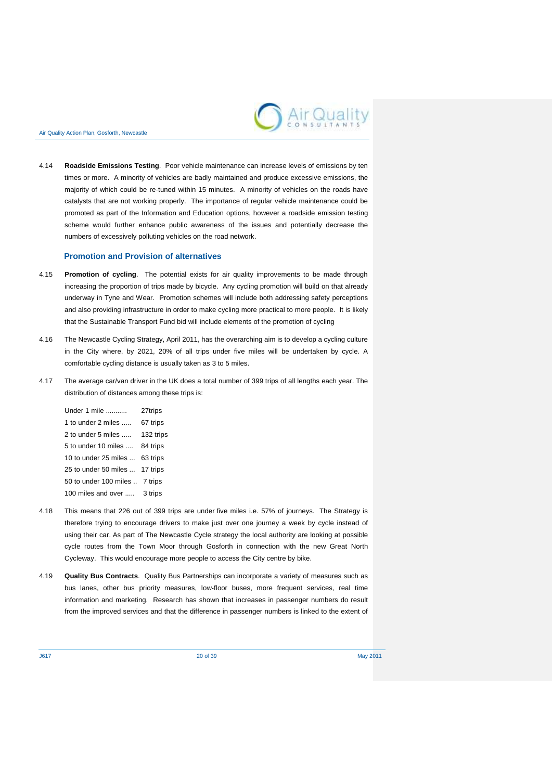

4.14 **Roadside Emissions Testing**. Poor vehicle maintenance can increase levels of emissions by ten times or more. A minority of vehicles are badly maintained and produce excessive emissions, the majority of which could be re-tuned within 15 minutes. A minority of vehicles on the roads have catalysts that are not working properly. The importance of regular vehicle maintenance could be promoted as part of the Information and Education options, however a roadside emission testing scheme would further enhance public awareness of the issues and potentially decrease the numbers of excessively polluting vehicles on the road network.

#### **Promotion and Provision of alternatives**

- 4.15 **Promotion of cycling**. The potential exists for air quality improvements to be made through increasing the proportion of trips made by bicycle. Any cycling promotion will build on that already underway in Tyne and Wear. Promotion schemes will include both addressing safety perceptions and also providing infrastructure in order to make cycling more practical to more people. It is likely that the Sustainable Transport Fund bid will include elements of the promotion of cycling
- 4.16 The Newcastle Cycling Strategy, April 2011, has the overarching aim is to develop a cycling culture in the City where, by 2021, 20% of all trips under five miles will be undertaken by cycle. A comfortable cycling distance is usually taken as 3 to 5 miles.
- 4.17 The average car/van driver in the UK does a total number of 399 trips of all lengths each year. The distribution of distances among these trips is:

| Under 1 mile          | 27trips   |
|-----------------------|-----------|
| 1 to under 2 miles    | 67 trips  |
| 2 to under 5 miles    | 132 trips |
| 5 to under 10 miles   | 84 trips  |
| 10 to under 25 miles  | 63 trips  |
| 25 to under 50 miles  | 17 trips  |
| 50 to under 100 miles | 7 trips   |
| 100 miles and over    | 3 trips   |

- 4.18 This means that 226 out of 399 trips are under five miles i.e. 57% of journeys. The Strategy is therefore trying to encourage drivers to make just over one journey a week by cycle instead of using their car. As part of The Newcastle Cycle strategy the local authority are looking at possible cycle routes from the Town Moor through Gosforth in connection with the new Great North Cycleway. This would encourage more people to access the City centre by bike.
- 4.19 **Quality Bus Contracts**. Quality Bus Partnerships can incorporate a variety of measures such as bus lanes, other bus priority measures, low-floor buses, more frequent services, real time information and marketing. Research has shown that increases in passenger numbers do result from the improved services and that the difference in passenger numbers is linked to the extent of

J617 20 of 39 May 2011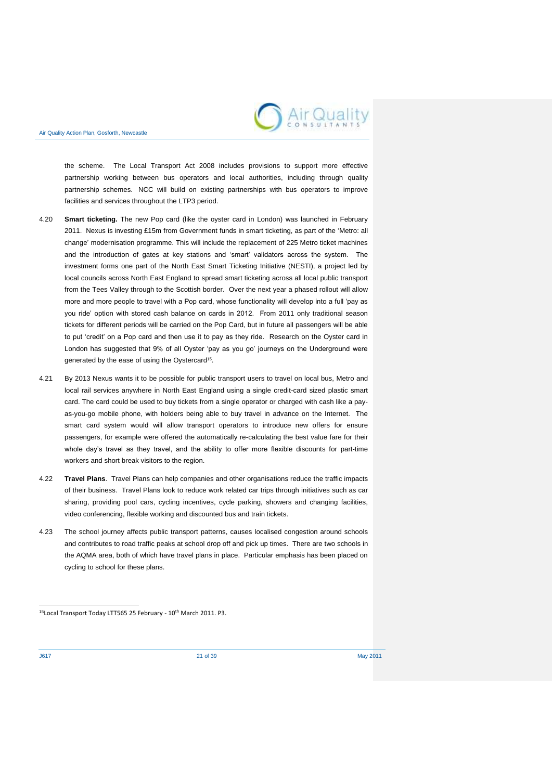

the scheme. The Local Transport Act 2008 includes provisions to support more effective partnership working between bus operators and local authorities, including through quality partnership schemes. NCC will build on existing partnerships with bus operators to improve facilities and services throughout the LTP3 period.

- 4.20 **Smart ticketing.** The new Pop card (like the oyster card in London) was launched in February 2011. Nexus is investing £15m from Government funds in smart ticketing, as part of the 'Metro: all change' modernisation programme. This will include the replacement of 225 Metro ticket machines and the introduction of gates at key stations and 'smart' validators across the system. The investment forms one part of the North East Smart Ticketing Initiative (NESTI), a project led by local councils across North East England to spread smart ticketing across all local public transport from the Tees Valley through to the Scottish border. Over the next year a phased rollout will allow more and more people to travel with a Pop card, whose functionality will develop into a full 'pay as you ride' option with stored cash balance on cards in 2012. From 2011 only traditional season tickets for different periods will be carried on the Pop Card, but in future all passengers will be able to put 'credit' on a Pop card and then use it to pay as they ride. Research on the Oyster card in London has suggested that 9% of all Oyster 'pay as you go' journeys on the Underground were generated by the ease of using the Oystercard<sup>15</sup>.
- 4.21 By 2013 Nexus wants it to be possible for public transport users to travel on local bus, Metro and local rail services anywhere in North East England using a single credit-card sized plastic smart card. The card could be used to buy tickets from a single operator or charged with cash like a payas-you-go mobile phone, with holders being able to buy travel in advance on the Internet. The smart card system would will allow transport operators to introduce new offers for ensure passengers, for example were offered the automatically re-calculating the best value fare for their whole day's travel as they travel, and the ability to offer more flexible discounts for part-time workers and short break visitors to the region.
- 4.22 **Travel Plans**. Travel Plans can help companies and other organisations reduce the traffic impacts of their business. Travel Plans look to reduce work related car trips through initiatives such as car sharing, providing pool cars, cycling incentives, cycle parking, showers and changing facilities, video conferencing, flexible working and discounted bus and train tickets.
- 4.23 The school journey affects public transport patterns, causes localised congestion around schools and contributes to road traffic peaks at school drop off and pick up times. There are two schools in the AQMA area, both of which have travel plans in place. Particular emphasis has been placed on cycling to school for these plans.

1

<sup>&</sup>lt;sup>15</sup>Local Transport Today LTT565 25 February - 10<sup>th</sup> March 2011. P3.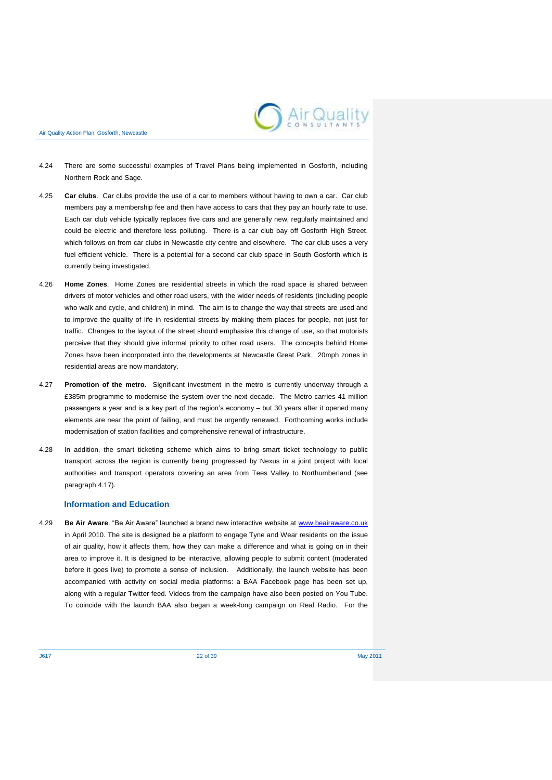

- 4.24 There are some successful examples of Travel Plans being implemented in Gosforth, including Northern Rock and Sage.
- 4.25 **Car clubs**. Car clubs provide the use of a car to members without having to own a car. Car club members pay a membership fee and then have access to cars that they pay an hourly rate to use. Each car club vehicle typically replaces five cars and are generally new, regularly maintained and could be electric and therefore less polluting. There is a car club bay off Gosforth High Street, which follows on from car clubs in Newcastle city centre and elsewhere. The car club uses a very fuel efficient vehicle. There is a potential for a second car club space in South Gosforth which is currently being investigated.
- 4.26 **Home Zones**. Home Zones are residential streets in which the road space is shared between drivers of motor vehicles and other road users, with the wider needs of residents (including people who walk and cycle, and children) in mind. The aim is to change the way that streets are used and to improve the quality of life in residential streets by making them places for people, not just for traffic. Changes to the layout of the street should emphasise this change of use, so that motorists perceive that they should give informal priority to other road users. The concepts behind Home Zones have been incorporated into the developments at Newcastle Great Park. 20mph zones in residential areas are now mandatory.
- 4.27 **Promotion of the metro.** Significant investment in the metro is currently underway through a £385m programme to modernise the system over the next decade. The Metro carries 41 million passengers a year and is a key part of the region's economy – but 30 years after it opened many elements are near the point of failing, and must be urgently renewed. Forthcoming works include modernisation of station facilities and comprehensive renewal of infrastructure.
- 4.28 In addition, the smart ticketing scheme which aims to bring smart ticket technology to public transport across the region is currently being progressed by Nexus in a joint project with local authorities and transport operators covering an area from Tees Valley to Northumberland (see paragraph 4.17).

### **Information and Education**

4.29 **Be Air Aware**. "Be Air Aware" launched a brand new interactive website at [www.beairaware.co.uk](http://www.beairaware.co.uk/)  in April 2010. The site is designed be a platform to engage Tyne and Wear residents on the issue of air quality, how it affects them, how they can make a difference and what is going on in their area to improve it. It is designed to be interactive, allowing people to submit content (moderated before it goes live) to promote a sense of inclusion. Additionally, the launch website has been accompanied with activity on social media platforms: a BAA Facebook page has been set up, along with a regular Twitter feed. Videos from the campaign have also been posted on You Tube. To coincide with the launch BAA also began a week-long campaign on Real Radio. For the

J617 22 of 39 May 2011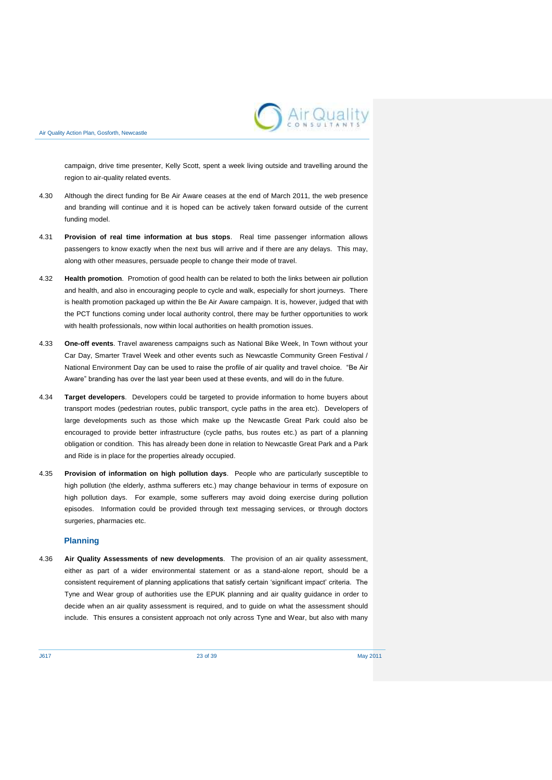

campaign, drive time presenter, Kelly Scott, spent a week living outside and travelling around the region to air-quality related events.

- 4.30 Although the direct funding for Be Air Aware ceases at the end of March 2011, the web presence and branding will continue and it is hoped can be actively taken forward outside of the current funding model.
- 4.31 **Provision of real time information at bus stops**. Real time passenger information allows passengers to know exactly when the next bus will arrive and if there are any delays. This may, along with other measures, persuade people to change their mode of travel.
- 4.32 **Health promotion**. Promotion of good health can be related to both the links between air pollution and health, and also in encouraging people to cycle and walk, especially for short journeys. There is health promotion packaged up within the Be Air Aware campaign. It is, however, judged that with the PCT functions coming under local authority control, there may be further opportunities to work with health professionals, now within local authorities on health promotion issues.
- 4.33 **One-off events**. Travel awareness campaigns such as National Bike Week, In Town without your Car Day, Smarter Travel Week and other events such as Newcastle Community Green Festival / National Environment Day can be used to raise the profile of air quality and travel choice. "Be Air Aware" branding has over the last year been used at these events, and will do in the future.
- 4.34 **Target developers**. Developers could be targeted to provide information to home buyers about transport modes (pedestrian routes, public transport, cycle paths in the area etc). Developers of large developments such as those which make up the Newcastle Great Park could also be encouraged to provide better infrastructure (cycle paths, bus routes etc.) as part of a planning obligation or condition. This has already been done in relation to Newcastle Great Park and a Park and Ride is in place for the properties already occupied.
- 4.35 **Provision of information on high pollution days**. People who are particularly susceptible to high pollution (the elderly, asthma sufferers etc.) may change behaviour in terms of exposure on high pollution days. For example, some sufferers may avoid doing exercise during pollution episodes. Information could be provided through text messaging services, or through doctors surgeries, pharmacies etc.

## **Planning**

4.36 **Air Quality Assessments of new developments**. The provision of an air quality assessment, either as part of a wider environmental statement or as a stand-alone report, should be a consistent requirement of planning applications that satisfy certain 'significant impact' criteria. The Tyne and Wear group of authorities use the EPUK planning and air quality guidance in order to decide when an air quality assessment is required, and to guide on what the assessment should include. This ensures a consistent approach not only across Tyne and Wear, but also with many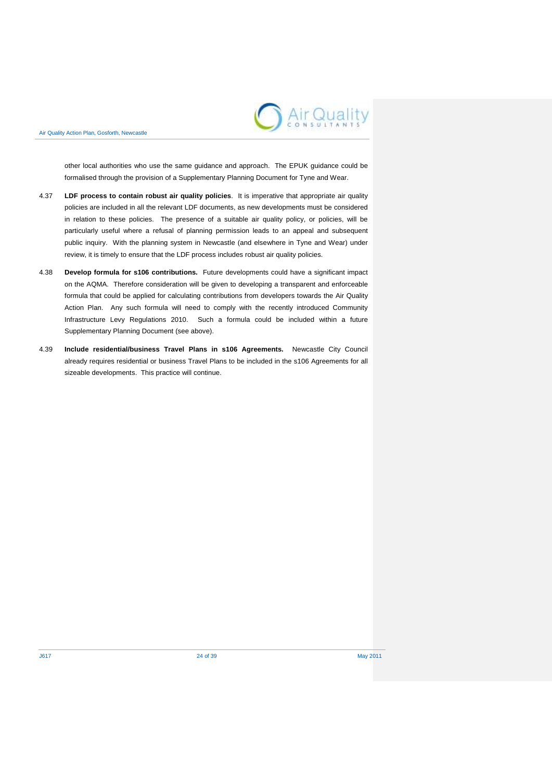

other local authorities who use the same guidance and approach. The EPUK guidance could be formalised through the provision of a Supplementary Planning Document for Tyne and Wear.

- 4.37 **LDF process to contain robust air quality policies**. It is imperative that appropriate air quality policies are included in all the relevant LDF documents, as new developments must be considered in relation to these policies. The presence of a suitable air quality policy, or policies, will be particularly useful where a refusal of planning permission leads to an appeal and subsequent public inquiry. With the planning system in Newcastle (and elsewhere in Tyne and Wear) under review, it is timely to ensure that the LDF process includes robust air quality policies.
- 4.38 **Develop formula for s106 contributions.** Future developments could have a significant impact on the AQMA. Therefore consideration will be given to developing a transparent and enforceable formula that could be applied for calculating contributions from developers towards the Air Quality Action Plan. Any such formula will need to comply with the recently introduced Community Infrastructure Levy Regulations 2010. Such a formula could be included within a future Supplementary Planning Document (see above).
- 4.39 **Include residential/business Travel Plans in s106 Agreements.** Newcastle City Council already requires residential or business Travel Plans to be included in the s106 Agreements for all sizeable developments. This practice will continue.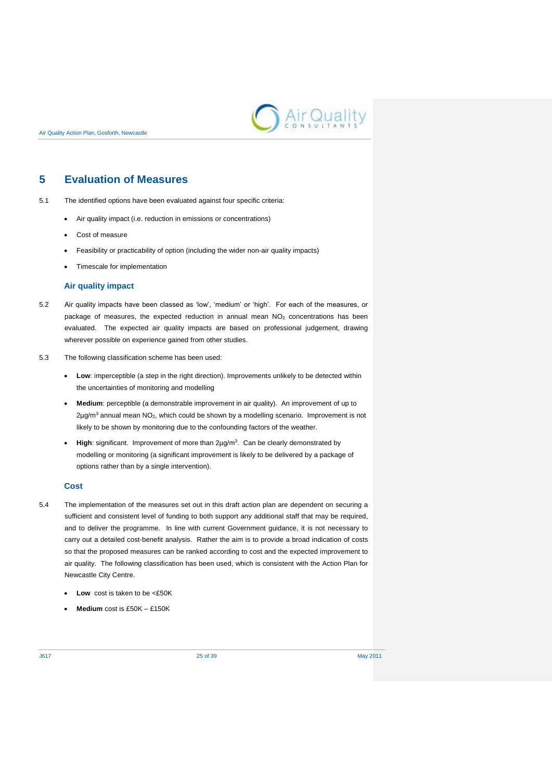

## <span id="page-28-0"></span>**5 Evaluation of Measures**

- 5.1 The identified options have been evaluated against four specific criteria:
	- Air quality impact (i.e. reduction in emissions or concentrations)
	- Cost of measure
	- Feasibility or practicability of option (including the wider non-air quality impacts)
	- Timescale for implementation

### **Air quality impact**

- 5.2 Air quality impacts have been classed as 'low', 'medium' or 'high'. For each of the measures, or package of measures, the expected reduction in annual mean  $NO<sub>2</sub>$  concentrations has been evaluated. The expected air quality impacts are based on professional judgement, drawing wherever possible on experience gained from other studies.
- 5.3 The following classification scheme has been used:
	- **Low**: imperceptible (a step in the right direction). Improvements unlikely to be detected within the uncertainties of monitoring and modelling
	- **Medium**: perceptible (a demonstrable improvement in air quality). An improvement of up to  $2\mu$ g/m<sup>3</sup> annual mean NO<sub>2</sub>, which could be shown by a modelling scenario. Improvement is not likely to be shown by monitoring due to the confounding factors of the weather.
	- **High**: significant. Improvement of more than 2µg/m<sup>3</sup> . Can be clearly demonstrated by modelling or monitoring (a significant improvement is likely to be delivered by a package of options rather than by a single intervention).

## **Cost**

- 5.4 The implementation of the measures set out in this draft action plan are dependent on securing a sufficient and consistent level of funding to both support any additional staff that may be required, and to deliver the programme. In line with current Government guidance, it is not necessary to carry out a detailed cost-benefit analysis. Rather the aim is to provide a broad indication of costs so that the proposed measures can be ranked according to cost and the expected improvement to air quality. The following classification has been used, which is consistent with the Action Plan for Newcastle City Centre.
	- **Low** cost is taken to be <£50K
	- **Medium** cost is £50K £150K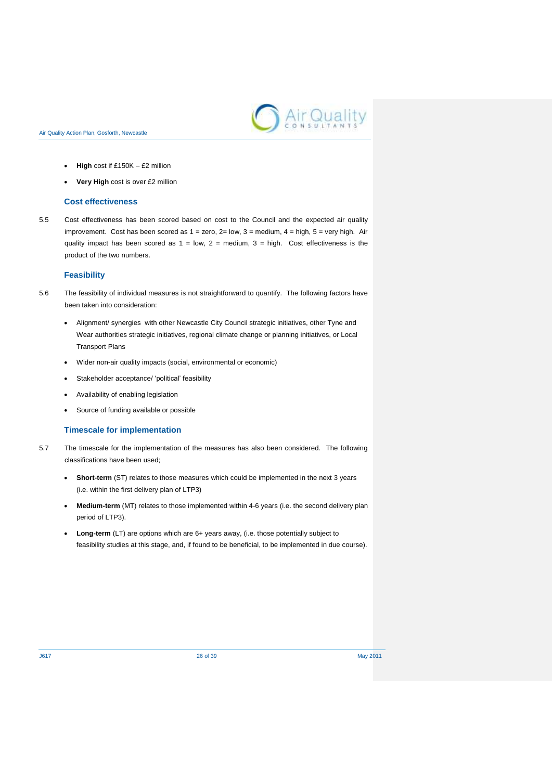

- **High** cost if £150K £2 million
- **Very High** cost is over £2 million

#### **Cost effectiveness**

5.5 Cost effectiveness has been scored based on cost to the Council and the expected air quality improvement. Cost has been scored as  $1 =$  zero,  $2 =$  low,  $3 =$  medium,  $4 =$  high,  $5 =$  very high. Air quality impact has been scored as  $1 = \text{low}, 2 = \text{medium}, 3 = \text{high}$ . Cost effectiveness is the product of the two numbers.

#### **Feasibility**

- 5.6 The feasibility of individual measures is not straightforward to quantify. The following factors have been taken into consideration:
	- Alignment/ synergies with other Newcastle City Council strategic initiatives, other Tyne and Wear authorities strategic initiatives, regional climate change or planning initiatives, or Local Transport Plans
	- Wider non-air quality impacts (social, environmental or economic)
	- Stakeholder acceptance/ 'political' feasibility
	- Availability of enabling legislation
	- Source of funding available or possible

## **Timescale for implementation**

- 5.7 The timescale for the implementation of the measures has also been considered. The following classifications have been used;
	- **Short-term** (ST) relates to those measures which could be implemented in the next 3 years (i.e. within the first delivery plan of LTP3)
	- **Medium-term** (MT) relates to those implemented within 4-6 years (i.e. the second delivery plan period of LTP3).
	- **Long-term** (LT) are options which are 6+ years away, (i.e. those potentially subject to feasibility studies at this stage, and, if found to be beneficial, to be implemented in due course).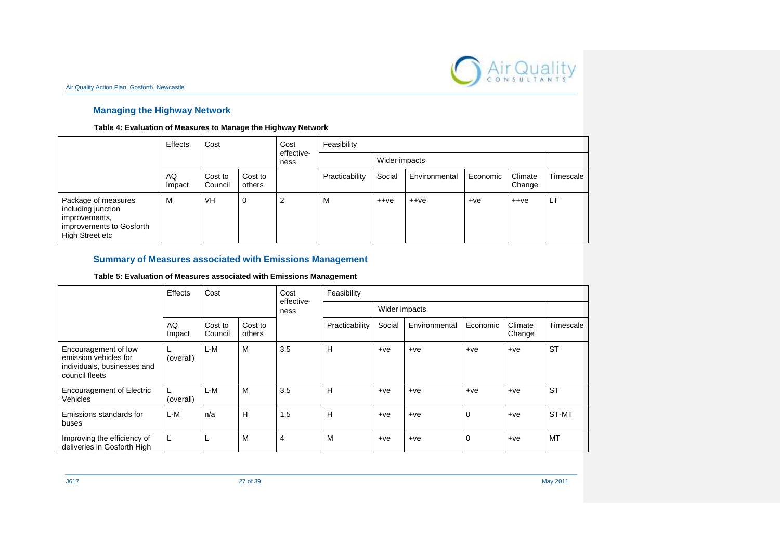

## **Managing the Highway Network**

## **Table 4: Evaluation of Measures to Manage the Highway Network**

|                                                                                                           | Effects<br>Cost |                    | Cost<br>effective- | Feasibility |                |               |               |          |                   |           |
|-----------------------------------------------------------------------------------------------------------|-----------------|--------------------|--------------------|-------------|----------------|---------------|---------------|----------|-------------------|-----------|
|                                                                                                           |                 |                    |                    | ness        |                | Wider impacts |               |          |                   |           |
|                                                                                                           | AQ<br>Impact    | Cost to<br>Council | Cost to<br>others  |             | Practicability | Social        | Environmental | Economic | Climate<br>Change | Timescale |
| Package of measures<br>including junction<br>improvements,<br>improvements to Gosforth<br>High Street etc | м               | <b>VH</b>          | 0                  | 2           | M              | $++ve$        | $++ve$        | $+ve$    | $++ve$            | LT        |

## **Summary of Measures associated with Emissions Management**

## **Table 5: Evaluation of Measures associated with Emissions Management**

|                                                                                                | Effects      | Cost               | Cost<br>effective-<br>ness |                | Feasibility    |               |               |                |                   |           |  |
|------------------------------------------------------------------------------------------------|--------------|--------------------|----------------------------|----------------|----------------|---------------|---------------|----------------|-------------------|-----------|--|
|                                                                                                |              |                    |                            |                |                | Wider impacts |               |                |                   |           |  |
|                                                                                                | AQ<br>Impact | Cost to<br>Council | Cost to<br>others          |                | Practicability | Social        | Environmental | Economic       | Climate<br>Change | Timescale |  |
| Encouragement of low<br>emission vehicles for<br>individuals, businesses and<br>council fleets | (overall)    | L-M                | M                          | 3.5            | н              | $+ve$         | $+ve$         | $+ve$          | $+ve$             | <b>ST</b> |  |
| <b>Encouragement of Electric</b><br>Vehicles                                                   | (overall)    | L-M                | M                          | 3.5            | н              | $+ve$         | $+ve$         | $+ve$          | $+ve$             | <b>ST</b> |  |
| Emissions standards for<br>buses                                                               | L-M          | n/a                | Н                          | 1.5            | н              | $+ve$         | $+ve$         | $\Omega$       | $+ve$             | ST-MT     |  |
| Improving the efficiency of<br>deliveries in Gosforth High                                     | L.           |                    | M                          | $\overline{4}$ | M              | $+ve$         | $+ve$         | $\overline{0}$ | $+ve$             | MT        |  |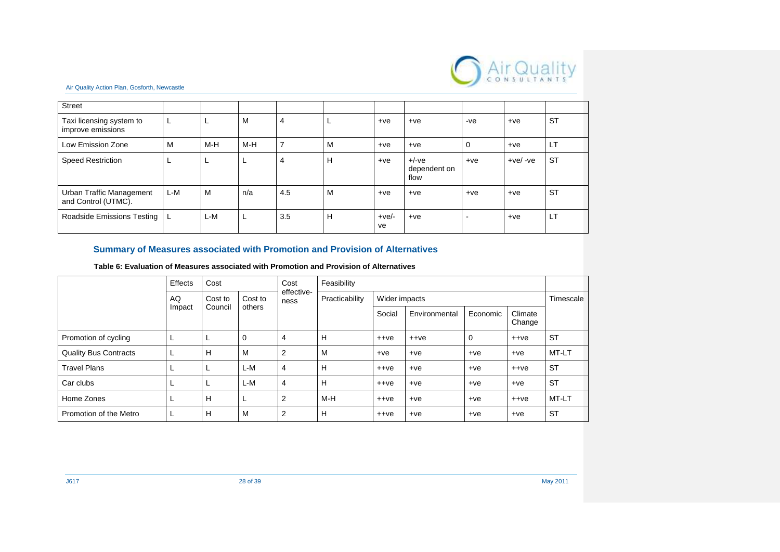

| <b>Street</b>                                   |     |     |     |                |   |               |                                 |       |            |           |
|-------------------------------------------------|-----|-----|-----|----------------|---|---------------|---------------------------------|-------|------------|-----------|
| Taxi licensing system to<br>improve emissions   |     | ш   | M   | $\overline{4}$ | ┕ | $+ve$         | $+ve$                           | $-ve$ | $+ve$      | <b>ST</b> |
| Low Emission Zone                               | м   | M-H | M-H | 7              | м | $+ve$         | $+ve$                           | 0     | $+ve$      | LТ        |
| Speed Restriction                               |     | ட   | L   | $\overline{4}$ | Н | $+ve$         | $+/-ve$<br>dependent on<br>flow | $+ve$ | $+ve/ -ve$ | <b>ST</b> |
| Urban Traffic Management<br>and Control (UTMC). | L-M | M   | n/a | 4.5            | м | $+ve$         | $+ve$                           | $+ve$ | $+ve$      | <b>ST</b> |
| Roadside Emissions Testing                      |     | L-M | L   | 3.5            | Н | $+ve/-$<br>ve | $+ve$                           |       | $+ve$      | LT        |

## **Summary of Measures associated with Promotion and Provision of Alternatives**

### **Table 6: Evaluation of Measures associated with Promotion and Provision of Alternatives**

| Effects                      |        | Cost    |             | Cost               | Feasibility    |               |               |          |                   |           |
|------------------------------|--------|---------|-------------|--------------------|----------------|---------------|---------------|----------|-------------------|-----------|
|                              | AQ     | Cost to | Cost to     | effective-<br>ness | Practicability | Wider impacts |               |          |                   | Timescale |
|                              | Impact | Council | others      |                    |                | Social        | Environmental | Economic | Climate<br>Change |           |
| Promotion of cycling         |        |         | $\mathbf 0$ | 4                  | H              | $++ve$        | $++ve$        | 0        | $++ve$            | <b>ST</b> |
| <b>Quality Bus Contracts</b> |        | Н       | M           | 2                  | M              | $+ve$         | $+ve$         | $+ve$    | $+ve$             | MT-LT     |
| <b>Travel Plans</b>          |        |         | L-M         | 4                  | H              | $++ve$        | $+ve$         | $+ve$    | $++ve$            | <b>ST</b> |
| Car clubs                    |        |         | L-M         | 4                  | H              | $++ve$        | $+ve$         | $+ve$    | $+ve$             | <b>ST</b> |
| Home Zones                   |        | Н       | ь           | 2                  | M-H            | $++ve$        | $+ve$         | $+ve$    | $++ve$            | MT-LT     |
| Promotion of the Metro       |        | Н       | M           | 2                  | H              | $++ve$        | $+ve$         | $+ve$    | $+ve$             | <b>ST</b> |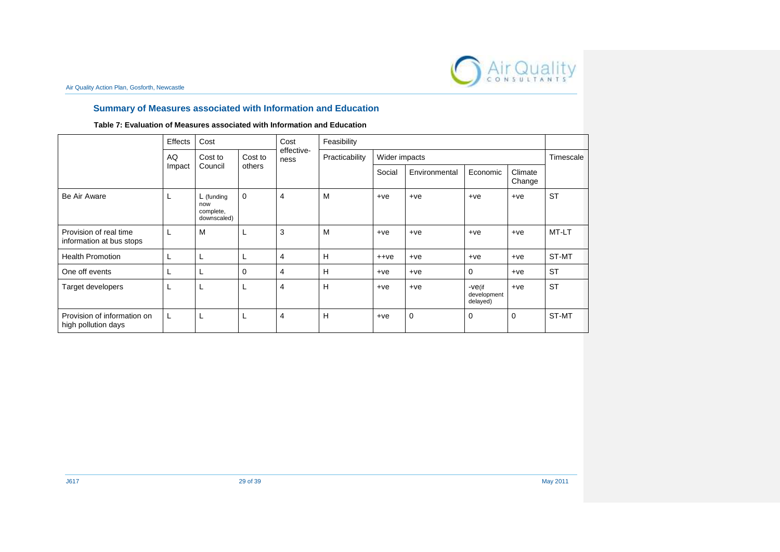

## **Summary of Measures associated with Information and Education**

## **Table 7: Evaluation of Measures associated with Information and Education**

|                                                    | Effects | Cost                                            |         | Cost               | Feasibility    |               |               |                                      |                   |           |
|----------------------------------------------------|---------|-------------------------------------------------|---------|--------------------|----------------|---------------|---------------|--------------------------------------|-------------------|-----------|
|                                                    | AQ      | Cost to                                         | Cost to | effective-<br>ness | Practicability | Wider impacts |               | Timescale                            |                   |           |
|                                                    | Impact  | Council                                         | others  |                    |                | Social        | Environmental | Economic                             | Climate<br>Change |           |
| Be Air Aware                                       | ┗       | $L$ (funding<br>now<br>complete,<br>downscaled) | 0       | 4                  | M              | $+ve$         | $+ve$         | $+ve$                                | $+ve$             | <b>ST</b> |
| Provision of real time<br>information at bus stops | L.      | M                                               | L       | 3                  | M              | $+ve$         | $+ve$         | $+ve$                                | $+ve$             | MT-LT     |
| <b>Health Promotion</b>                            | ┗       | L                                               | L       | 4                  | H              | $++ve$        | $+ve$         | $+ve$                                | $+ve$             | ST-MT     |
| One off events                                     |         | L                                               | 0       | 4                  | H              | $+ve$         | $+ve$         | 0                                    | $+ve$             | <b>ST</b> |
| Target developers                                  | L       |                                                 | L,      | 4                  | н              | $+ve$         | $+ve$         | $-ve$ (if<br>development<br>delayed) | $+ve$             | <b>ST</b> |
| Provision of information on<br>high pollution days | L       | L                                               | L.      | 4                  | Н              | $+ve$         | $\mathbf 0$   | 0                                    | $\mathbf 0$       | ST-MT     |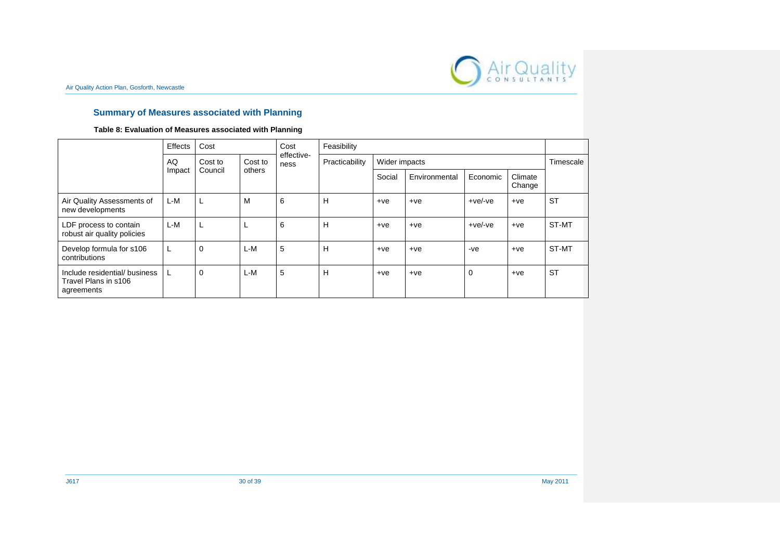

## **Summary of Measures associated with Planning**

## **Table 8: Evaluation of Measures associated with Planning**

|                                                                     | Effects | Cost        |                   | Cost               | Feasibility    |               |               |                |                   |           |
|---------------------------------------------------------------------|---------|-------------|-------------------|--------------------|----------------|---------------|---------------|----------------|-------------------|-----------|
|                                                                     | AQ      | Cost to     | Cost to<br>others | effective-<br>ness | Practicability | Wider impacts |               |                |                   | Timescale |
|                                                                     | Impact  | Council     |                   |                    |                | Social        | Environmental | Economic       | Climate<br>Change |           |
| Air Quality Assessments of<br>new developments                      | L-M     | L           | м                 | 6                  | H              | $+ve$         | $+ve$         | $+ve/-ve$      | $+ve$             | <b>ST</b> |
| LDF process to contain<br>robust air quality policies               | L-M     | L           |                   | 6                  | Н              | $+ve$         | $+ve$         | $+ve/$ -ve     | $+ve$             | ST-MT     |
| Develop formula for s106<br>contributions                           | ┖       | $\mathbf 0$ | $L-M$             | 5                  | Н              | $+ve$         | $+ve$         | $-ve$          | $+ve$             | ST-MT     |
| Include residential/ business<br>Travel Plans in s106<br>agreements |         | $\mathbf 0$ | $L-M$             | 5                  | Н              | $+ve$         | $+ve$         | $\overline{0}$ | $+ve$             | <b>ST</b> |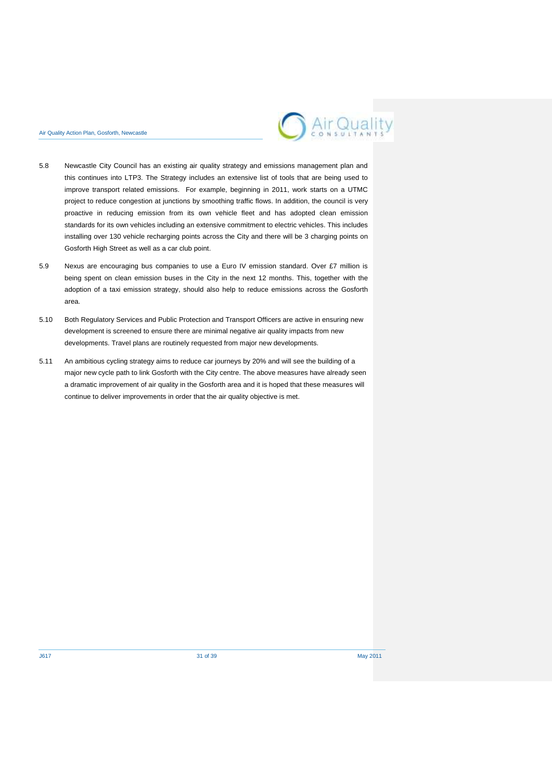

- 5.8 Newcastle City Council has an existing air quality strategy and emissions management plan and this continues into LTP3. The Strategy includes an extensive list of tools that are being used to improve transport related emissions. For example, beginning in 2011, work starts on a UTMC project to reduce congestion at junctions by smoothing traffic flows. In addition, the council is very proactive in reducing emission from its own vehicle fleet and has adopted clean emission standards for its own vehicles including an extensive commitment to electric vehicles. This includes installing over 130 vehicle recharging points across the City and there will be 3 charging points on Gosforth High Street as well as a car club point.
- 5.9 Nexus are encouraging bus companies to use a Euro IV emission standard. Over £7 million is being spent on clean emission buses in the City in the next 12 months. This, together with the adoption of a taxi emission strategy, should also help to reduce emissions across the Gosforth area.
- 5.10 Both Regulatory Services and Public Protection and Transport Officers are active in ensuring new development is screened to ensure there are minimal negative air quality impacts from new developments. Travel plans are routinely requested from major new developments.
- 5.11 An ambitious cycling strategy aims to reduce car journeys by 20% and will see the building of a major new cycle path to link Gosforth with the City centre. The above measures have already seen a dramatic improvement of air quality in the Gosforth area and it is hoped that these measures will continue to deliver improvements in order that the air quality objective is met.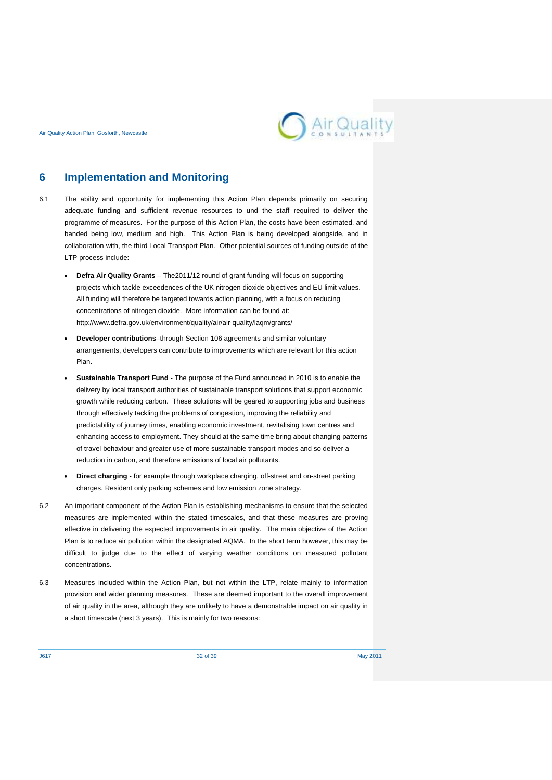

## <span id="page-35-0"></span>**6 Implementation and Monitoring**

- 6.1 The ability and opportunity for implementing this Action Plan depends primarily on securing adequate funding and sufficient revenue resources to und the staff required to deliver the programme of measures. For the purpose of this Action Plan, the costs have been estimated, and banded being low, medium and high. This Action Plan is being developed alongside, and in collaboration with, the third Local Transport Plan. Other potential sources of funding outside of the LTP process include:
	- **Defra Air Quality Grants The2011/12 round of grant funding will focus on supporting** projects which tackle exceedences of the UK nitrogen dioxide objectives and EU limit values. All funding will therefore be targeted towards action planning, with a focus on reducing concentrations of nitrogen dioxide. More information can be found at: <http://www.defra.gov.uk/environment/quality/air/air-quality/laqm/grants/>
	- **Developer contributions**–through Section 106 agreements and similar voluntary arrangements, developers can contribute to improvements which are relevant for this action Plan.
	- **Sustainable Transport Fund -** The purpose of the Fund announced in 2010 is to enable the delivery by local transport authorities of sustainable transport solutions that support economic growth while reducing carbon. These solutions will be geared to supporting jobs and business through effectively tackling the problems of congestion, improving the reliability and predictability of journey times, enabling economic investment, revitalising town centres and enhancing access to employment. They should at the same time bring about changing patterns of travel behaviour and greater use of more sustainable transport modes and so deliver a reduction in carbon, and therefore emissions of local air pollutants.
	- **Direct charging** for example through workplace charging, off-street and on-street parking charges. Resident only parking schemes and low emission zone strategy.
- 6.2 An important component of the Action Plan is establishing mechanisms to ensure that the selected measures are implemented within the stated timescales, and that these measures are proving effective in delivering the expected improvements in air quality. The main objective of the Action Plan is to reduce air pollution within the designated AQMA. In the short term however, this may be difficult to judge due to the effect of varying weather conditions on measured pollutant concentrations.
- 6.3 Measures included within the Action Plan, but not within the LTP, relate mainly to information provision and wider planning measures. These are deemed important to the overall improvement of air quality in the area, although they are unlikely to have a demonstrable impact on air quality in a short timescale (next 3 years). This is mainly for two reasons: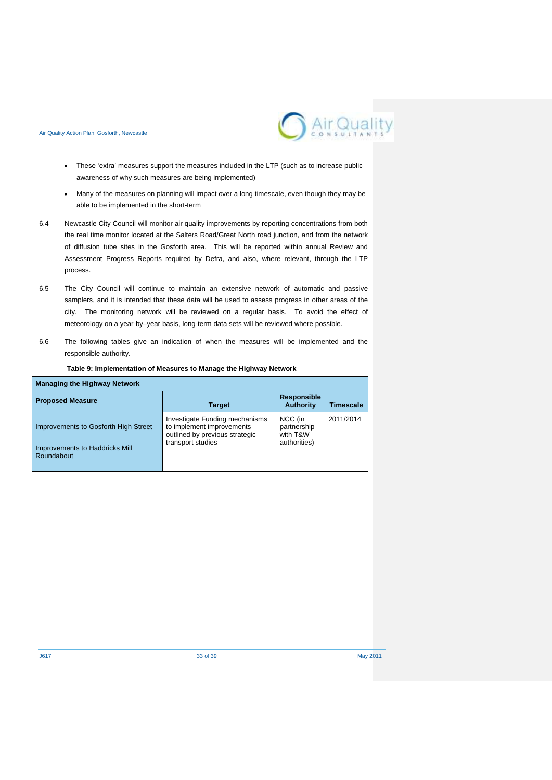

- These 'extra' measures support the measures included in the LTP (such as to increase public awareness of why such measures are being implemented)
- Many of the measures on planning will impact over a long timescale, even though they may be able to be implemented in the short-term
- 6.4 Newcastle City Council will monitor air quality improvements by reporting concentrations from both the real time monitor located at the Salters Road/Great North road junction, and from the network of diffusion tube sites in the Gosforth area. This will be reported within annual Review and Assessment Progress Reports required by Defra, and also, where relevant, through the LTP process.
- 6.5 The City Council will continue to maintain an extensive network of automatic and passive samplers, and it is intended that these data will be used to assess progress in other areas of the city. The monitoring network will be reviewed on a regular basis. To avoid the effect of meteorology on a year-by–year basis, long-term data sets will be reviewed where possible.
- 6.6 The following tables give an indication of when the measures will be implemented and the responsible authority.

| <b>Managing the Highway Network</b>                                                  |                                                                                                                    |                                                    |                  |
|--------------------------------------------------------------------------------------|--------------------------------------------------------------------------------------------------------------------|----------------------------------------------------|------------------|
| <b>Proposed Measure</b>                                                              | <b>Target</b>                                                                                                      | <b>Responsible</b><br><b>Authority</b>             | <b>Timescale</b> |
| Improvements to Gosforth High Street<br>Improvements to Haddricks Mill<br>Roundabout | Investigate Funding mechanisms<br>to implement improvements<br>outlined by previous strategic<br>transport studies | NCC (in<br>partnership<br>with T&W<br>authorities) | 2011/2014        |

#### **Table 9: Implementation of Measures to Manage the Highway Network**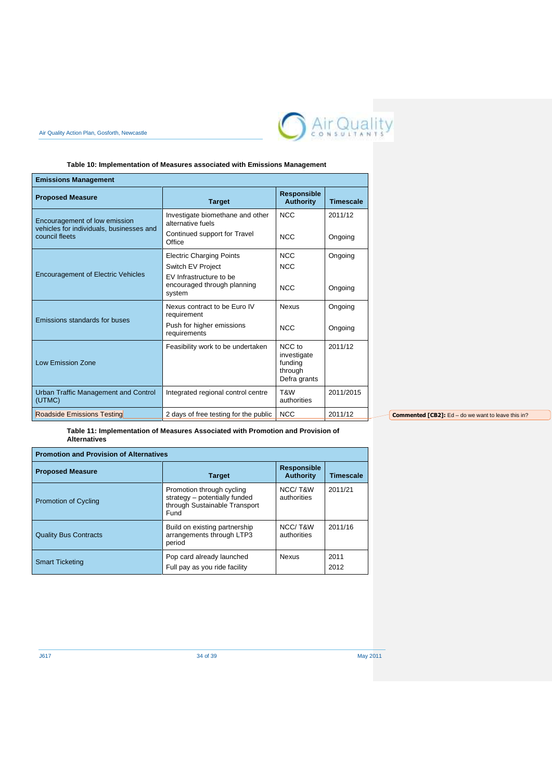

## **Table 10: Implementation of Measures associated with Emissions Management**

| <b>Emissions Management</b>                                                                 |                                                                  |                                                             |                  |
|---------------------------------------------------------------------------------------------|------------------------------------------------------------------|-------------------------------------------------------------|------------------|
| <b>Proposed Measure</b>                                                                     | <b>Target</b>                                                    | <b>Responsible</b><br><b>Authority</b>                      | <b>Timescale</b> |
| Encouragement of low emission<br>vehicles for individuals, businesses and<br>council fleets | Investigate biomethane and other<br>alternative fuels            | <b>NCC</b>                                                  | 2011/12          |
|                                                                                             | Continued support for Travel<br>Office                           | <b>NCC</b>                                                  | Ongoing          |
|                                                                                             | <b>Electric Charging Points</b>                                  | <b>NCC</b>                                                  | Ongoing          |
|                                                                                             | Switch EV Project                                                | <b>NCC</b>                                                  |                  |
| <b>Encouragement of Electric Vehicles</b>                                                   | EV Infrastructure to be<br>encouraged through planning<br>system | NCC                                                         | Ongoing          |
| Emissions standards for buses                                                               | Nexus contract to be Euro IV<br>requirement                      | <b>Nexus</b>                                                | Ongoing          |
|                                                                                             | Push for higher emissions<br>requirements                        | <b>NCC</b>                                                  | Ongoing          |
| <b>Low Emission Zone</b>                                                                    | Feasibility work to be undertaken                                | NCC to<br>investigate<br>funding<br>through<br>Defra grants | 2011/12          |
| Urban Traffic Management and Control<br>(UTMC)                                              | Integrated regional control centre                               | T&W<br>authorities                                          | 2011/2015        |
| <b>Roadside Emissions Testing</b>                                                           | 2 days of free testing for the public                            | <b>NCC</b>                                                  | 2011/12          |

**Commented [CB2]:** Ed – do we want to leave this in?

**Table 11: Implementation of Measures Associated with Promotion and Provision of Alternatives**

| <b>Promotion and Provision of Alternatives</b> |                                                                                                     |                                        |                  |
|------------------------------------------------|-----------------------------------------------------------------------------------------------------|----------------------------------------|------------------|
| <b>Proposed Measure</b>                        | <b>Target</b>                                                                                       | <b>Responsible</b><br><b>Authority</b> | <b>Timescale</b> |
| <b>Promotion of Cycling</b>                    | Promotion through cycling<br>strategy - potentially funded<br>through Sustainable Transport<br>Fund | NCC/T&W<br>authorities                 | 2011/21          |
| <b>Quality Bus Contracts</b>                   | Build on existing partnership<br>arrangements through LTP3<br>period                                | NCC/T&W<br>authorities                 | 2011/16          |
| <b>Smart Ticketing</b>                         | Pop card already launched<br>Full pay as you ride facility                                          | <b>Nexus</b>                           | 2011<br>2012     |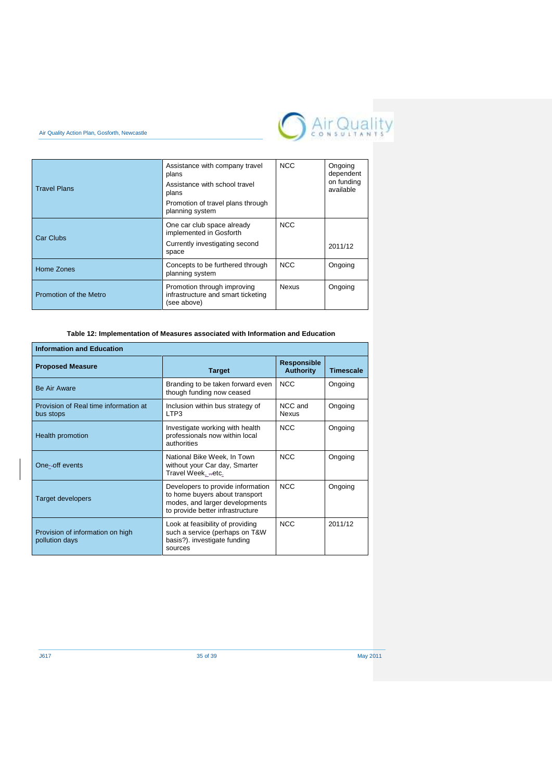



| <b>Travel Plans</b>    | Assistance with company travel<br>plans<br>Assistance with school travel<br>plans<br>Promotion of travel plans through<br>planning system | <b>NCC</b>   | Ongoing<br>dependent<br>on funding<br>available |
|------------------------|-------------------------------------------------------------------------------------------------------------------------------------------|--------------|-------------------------------------------------|
| Car Clubs              | One car club space already<br>implemented in Gosforth<br>Currently investigating second<br>space                                          | <b>NCC</b>   | 2011/12                                         |
| Home Zones             | Concepts to be furthered through<br>planning system                                                                                       | <b>NCC</b>   | Ongoing                                         |
| Promotion of the Metro | Promotion through improving<br>infrastructure and smart ticketing<br>(see above)                                                          | <b>Nexus</b> | Ongoing                                         |

**Table 12: Implementation of Measures associated with Information and Education** 

| <b>Information and Education</b>                   |                                                                                                                                           |                                        |                  |
|----------------------------------------------------|-------------------------------------------------------------------------------------------------------------------------------------------|----------------------------------------|------------------|
| <b>Proposed Measure</b>                            | <b>Target</b>                                                                                                                             | <b>Responsible</b><br><b>Authority</b> | <b>Timescale</b> |
| <b>Be Air Aware</b>                                | Branding to be taken forward even<br>though funding now ceased                                                                            | NCC.                                   | Ongoing          |
| Provision of Real time information at<br>bus stops | Inclusion within bus strategy of<br>LTP3                                                                                                  | NCC and<br><b>Nexus</b>                | Ongoing          |
| Health promotion                                   | Investigate working with health<br>professionals now within local<br>authorities                                                          | <b>NCC</b>                             | Ongoing          |
| One-off events                                     | National Bike Week, In Town<br>without your Car day, Smarter<br>Travel Week, etc.                                                         | <b>NCC</b>                             | Ongoing          |
| <b>Target developers</b>                           | Developers to provide information<br>to home buyers about transport<br>modes, and larger developments<br>to provide better infrastructure | <b>NCC</b>                             | Ongoing          |
| Provision of information on high<br>pollution days | Look at feasibility of providing<br>such a service (perhaps on T&W<br>basis?). investigate funding<br>sources                             | <b>NCC</b>                             | 2011/12          |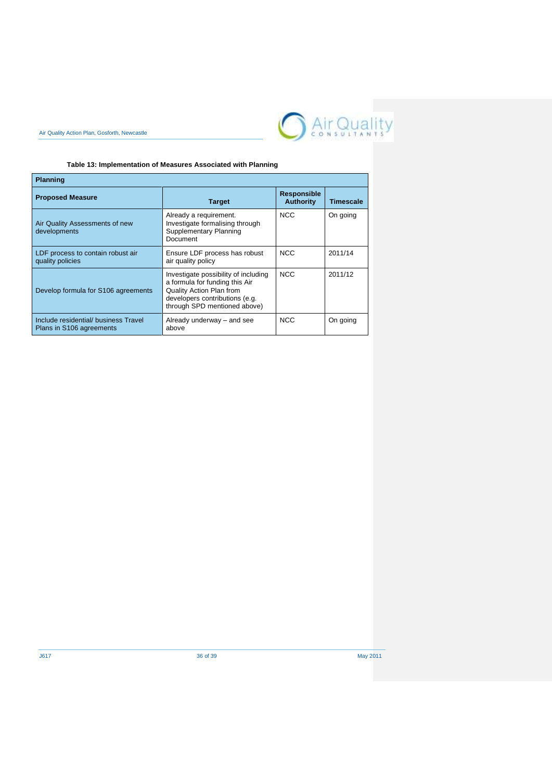

## **Table 13: Implementation of Measures Associated with Planning**

Air Quality Action Plan, Gosforth, Newcastle

| <b>Planning</b>                                                 |                                                                                                                                                                             |                                        |                  |
|-----------------------------------------------------------------|-----------------------------------------------------------------------------------------------------------------------------------------------------------------------------|----------------------------------------|------------------|
| <b>Proposed Measure</b>                                         | <b>Target</b>                                                                                                                                                               | <b>Responsible</b><br><b>Authority</b> | <b>Timescale</b> |
| Air Quality Assessments of new<br>developments                  | Already a requirement.<br>Investigate formalising through<br>Supplementary Planning<br>Document                                                                             | <b>NCC</b>                             | On going         |
| LDF process to contain robust air<br>quality policies           | Ensure LDF process has robust<br>air quality policy                                                                                                                         | <b>NCC</b>                             | 2011/14          |
| Develop formula for S106 agreements                             | Investigate possibility of including<br>a formula for funding this Air<br><b>Quality Action Plan from</b><br>developers contributions (e.g.<br>through SPD mentioned above) | <b>NCC</b>                             | 2011/12          |
| Include residential/business Travel<br>Plans in S106 agreements | Already underway – and see<br>above                                                                                                                                         | <b>NCC</b>                             | On going         |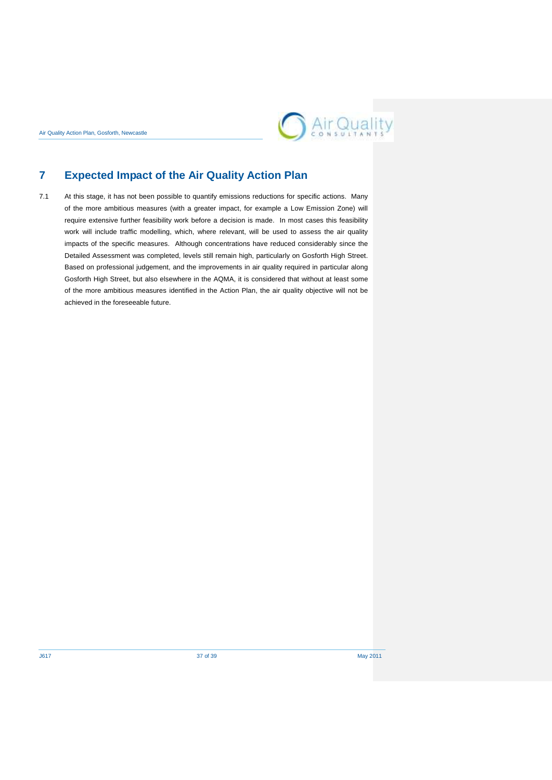

## <span id="page-40-0"></span>**7 Expected Impact of the Air Quality Action Plan**

7.1 At this stage, it has not been possible to quantify emissions reductions for specific actions. Many of the more ambitious measures (with a greater impact, for example a Low Emission Zone) will require extensive further feasibility work before a decision is made. In most cases this feasibility work will include traffic modelling, which, where relevant, will be used to assess the air quality impacts of the specific measures. Although concentrations have reduced considerably since the Detailed Assessment was completed, levels still remain high, particularly on Gosforth High Street. Based on professional judgement, and the improvements in air quality required in particular along Gosforth High Street, but also elsewhere in the AQMA, it is considered that without at least some of the more ambitious measures identified in the Action Plan, the air quality objective will not be achieved in the foreseeable future.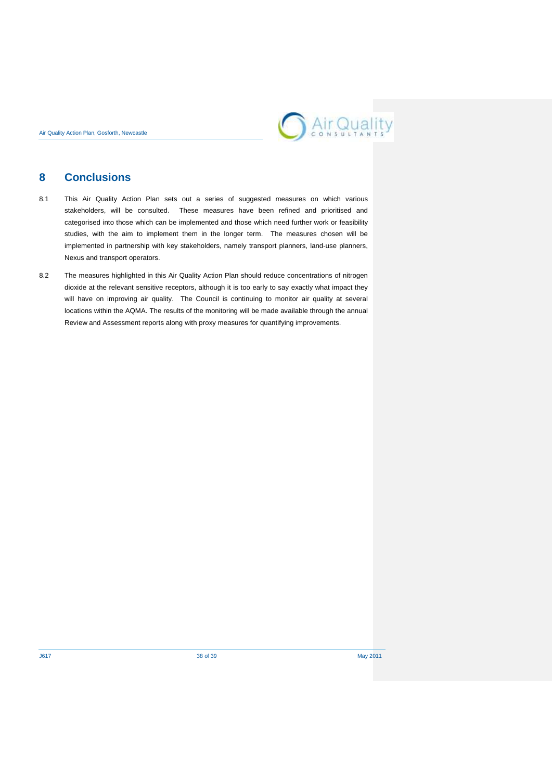

## <span id="page-41-0"></span>**8 Conclusions**

- 8.1 This Air Quality Action Plan sets out a series of suggested measures on which various stakeholders, will be consulted. These measures have been refined and prioritised and categorised into those which can be implemented and those which need further work or feasibility studies, with the aim to implement them in the longer term. The measures chosen will be implemented in partnership with key stakeholders, namely transport planners, land-use planners, Nexus and transport operators.
- 8.2 The measures highlighted in this Air Quality Action Plan should reduce concentrations of nitrogen dioxide at the relevant sensitive receptors, although it is too early to say exactly what impact they will have on improving air quality. The Council is continuing to monitor air quality at several locations within the AQMA. The results of the monitoring will be made available through the annual Review and Assessment reports along with proxy measures for quantifying improvements.